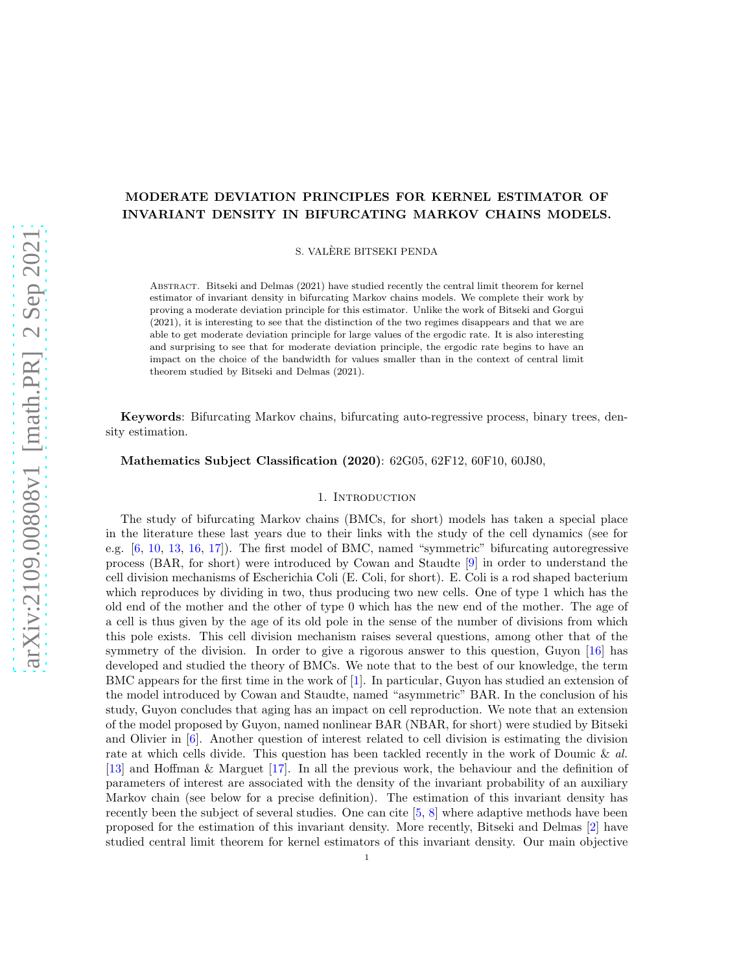# MODERATE DEVIATION PRINCIPLES FOR KERNEL ESTIMATOR OF INVARIANT DENSITY IN BIFURCATING MARKOV CHAINS MODELS.

S. VALERE BITSEKI PENDA `

ABSTRACT. Bitseki and Delmas (2021) have studied recently the central limit theorem for kernel estimator of invariant density in bifurcating Markov chains models. We complete their work by proving a moderate deviation principle for this estimator. Unlike the work of Bitseki and Gorgui (2021), it is interesting to see that the distinction of the two regimes disappears and that we are able to get moderate deviation principle for large values of the ergodic rate. It is also interesting and surprising to see that for moderate deviation principle, the ergodic rate begins to have an impact on the choice of the bandwidth for values smaller than in the context of central limit theorem studied by Bitseki and Delmas (2021).

Keywords: Bifurcating Markov chains, bifurcating auto-regressive process, binary trees, density estimation.

Mathematics Subject Classification (2020): 62G05, 62F12, 60F10, 60J80,

#### 1. INTRODUCTION

The study of bifurcating Markov chains (BMCs, for short) models has taken a special place in the literature these last years due to their links with the study of the cell dynamics (see for e.g. [\[6,](#page-25-0) [10,](#page-26-0) [13,](#page-26-1) [16,](#page-26-2) [17\]](#page-26-3)). The first model of BMC, named "symmetric" bifurcating autoregressive process (BAR, for short) were introduced by Cowan and Staudte [\[9\]](#page-26-4) in order to understand the cell division mechanisms of Escherichia Coli (E. Coli, for short). E. Coli is a rod shaped bacterium which reproduces by dividing in two, thus producing two new cells. One of type 1 which has the old end of the mother and the other of type 0 which has the new end of the mother. The age of a cell is thus given by the age of its old pole in the sense of the number of divisions from which this pole exists. This cell division mechanism raises several questions, among other that of the symmetry of the division. In order to give a rigorous answer to this question, Guyon [\[16\]](#page-26-2) has developed and studied the theory of BMCs. We note that to the best of our knowledge, the term BMC appears for the first time in the work of [\[1\]](#page-25-1). In particular, Guyon has studied an extension of the model introduced by Cowan and Staudte, named "asymmetric" BAR. In the conclusion of his study, Guyon concludes that aging has an impact on cell reproduction. We note that an extension of the model proposed by Guyon, named nonlinear BAR (NBAR, for short) were studied by Bitseki and Olivier in [\[6\]](#page-25-0). Another question of interest related to cell division is estimating the division rate at which cells divide. This question has been tackled recently in the work of Doumic & *al.* [\[13\]](#page-26-1) and Hoffman & Marguet [\[17\]](#page-26-3). In all the previous work, the behaviour and the definition of parameters of interest are associated with the density of the invariant probability of an auxiliary Markov chain (see below for a precise definition). The estimation of this invariant density has recently been the subject of several studies. One can cite [\[5,](#page-25-2) [8\]](#page-26-5) where adaptive methods have been proposed for the estimation of this invariant density. More recently, Bitseki and Delmas [\[2\]](#page-25-3) have studied central limit theorem for kernel estimators of this invariant density. Our main objective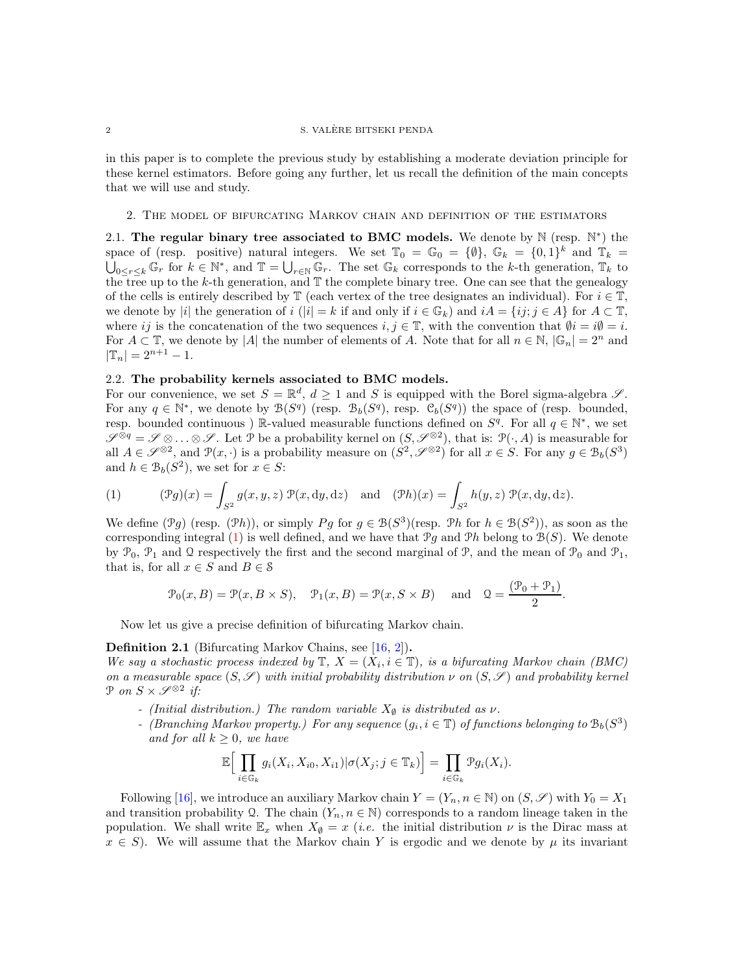in this paper is to complete the previous study by establishing a moderate deviation principle for these kernel estimators. Before going any further, let us recall the definition of the main concepts that we will use and study.

#### 2. The model of bifurcating Markov chain and definition of the estimators

2.1. The regular binary tree associated to BMC models. We denote by  $\mathbb N$  (resp.  $\mathbb N^*$ ) the space of (resp. positive) natural integers. We set  $\mathbb{T}_0 = \mathbb{G}_0 = \{\emptyset\}$ ,  $\mathbb{G}_k = \{0,1\}^k$  and  $\mathbb{T}_k = \bigcup_{k \in \mathbb{N}} \mathbb{G}_k$ . The set  $\mathbb{G}_k$  corresponds to the k-th generation.  $\mathbb{T}_k$  to  $_{0\leq r\leq k}\mathbb{G}_r$  for  $k\in\mathbb{N}^*$ , and  $\mathbb{T}=\bigcup_{r\in\mathbb{N}}\mathbb{G}_r$ . The set  $\mathbb{G}_k$  corresponds to the k-th generation,  $\mathbb{T}_k$  to the tree up to the k-th generation, and T the complete binary tree. One can see that the genealogy of the cells is entirely described by  $\mathbb T$  (each vertex of the tree designates an individual). For  $i \in \mathbb T$ , we denote by |i| the generation of i (|i| = k if and only if  $i \in \mathbb{G}_k$ ) and  $iA = \{ij; j \in A\}$  for  $A \subset \mathbb{T}$ , where ij is the concatenation of the two sequences  $i, j \in \mathbb{T}$ , with the convention that  $\emptyset i = i\emptyset = i$ . For  $A \subset \mathbb{T}$ , we denote by |A| the number of elements of A. Note that for all  $n \in \mathbb{N}$ ,  $|\mathbb{G}_n| = 2^n$  and  $|\mathbb{T}_n| = 2^{n+1} - 1.$ 

## 2.2. The probability kernels associated to BMC models.

For our convenience, we set  $S = \mathbb{R}^d$ ,  $d \geq 1$  and S is equipped with the Borel sigma-algebra  $\mathscr{S}$ . For any  $q \in \mathbb{N}^*$ , we denote by  $\mathcal{B}(S^q)$  (resp.  $\mathcal{B}_b(S^q)$ , resp.  $\mathcal{C}_b(S^q)$ ) the space of (resp. bounded, resp. bounded continuous) R-valued measurable functions defined on  $S^q$ . For all  $q \in \mathbb{N}^*$ , we set  $\mathscr{S}^{\otimes q} = \mathscr{S} \otimes \ldots \otimes \mathscr{S}$ . Let P be a probability kernel on  $(S, \mathscr{S}^{\otimes 2})$ , that is:  $\mathcal{P}(\cdot, A)$  is measurable for all  $A \in \mathscr{S}^{\otimes 2}$ , and  $\mathcal{P}(x, \cdot)$  is a probability measure on  $(S^2, \mathscr{S}^{\otimes 2})$  for all  $x \in S$ . For any  $g \in \mathcal{B}_b(S^3)$ and  $h \in \mathcal{B}_b(S^2)$ , we set for  $x \in S$ :

<span id="page-1-0"></span>(1) 
$$
(\mathcal{P}g)(x) = \int_{S^2} g(x, y, z) \mathcal{P}(x, dy, dz) \text{ and } (\mathcal{P}h)(x) = \int_{S^2} h(y, z) \mathcal{P}(x, dy, dz).
$$

We define  $(\mathcal{P}g)$  (resp.  $(\mathcal{P}h)$ ), or simply  $Pg$  for  $g \in \mathcal{B}(S^3)$ (resp.  $\mathcal{P}h$  for  $h \in \mathcal{B}(S^2)$ ), as soon as the corresponding integral [\(1\)](#page-1-0) is well defined, and we have that  $\mathcal{P}g$  and  $\mathcal{P}h$  belong to  $\mathcal{B}(S)$ . We denote by  $\mathcal{P}_0$ ,  $\mathcal{P}_1$  and  $\Omega$  respectively the first and the second marginal of  $\mathcal{P}_1$ , and the mean of  $\mathcal{P}_0$  and  $\mathcal{P}_1$ , that is, for all  $x \in S$  and  $B \in \mathcal{S}$ 

$$
\mathcal{P}_0(x, B) = \mathcal{P}(x, B \times S), \quad \mathcal{P}_1(x, B) = \mathcal{P}(x, S \times B) \quad \text{and} \quad \mathcal{Q} = \frac{(\mathcal{P}_0 + \mathcal{P}_1)}{2}.
$$

Now let us give a precise definition of bifurcating Markov chain.

Definition 2.1 (Bifurcating Markov Chains, see [\[16,](#page-26-2) [2\]](#page-25-3)).

*We say a stochastic process indexed by*  $\mathbb{T}$ *,*  $X = (X_i, i \in \mathbb{T})$ *, is a bifurcating Markov chain (BMC) on a measurable space*  $(S, \mathscr{S})$  *with initial probability distribution*  $\nu$  *on*  $(S, \mathscr{S})$  *and probability kernel*  $\mathcal{P}$  *on*  $S \times \mathcal{S}^{\otimes 2}$  *if:* 

- *(Initial distribution.) The random variable*  $X_{\emptyset}$  *is distributed as*  $\nu$ *.*
- *-* (*Branching Markov property.*) For any sequence  $(g_i, i \in \mathbb{T})$  of functions belonging to  $\mathcal{B}_b(S^3)$ *and for all*  $k \geq 0$ *, we have*

$$
\mathbb{E}\Big[\prod_{i\in\mathbb{G}_k}g_i(X_i,X_{i0},X_{i1})|\sigma(X_j;j\in\mathbb{T}_k)\Big]=\prod_{i\in\mathbb{G}_k}\mathcal{P}g_i(X_i).
$$

Following [\[16\]](#page-26-2), we introduce an auxiliary Markov chain  $Y = (Y_n, n \in \mathbb{N})$  on  $(S, \mathscr{S})$  with  $Y_0 = X_1$ and transition probability Q. The chain  $(Y_n, n \in \mathbb{N})$  corresponds to a random lineage taken in the population. We shall write  $\mathbb{E}_x$  when  $X_{\emptyset} = x$  (*i.e.* the initial distribution  $\nu$  is the Dirac mass at  $x \in S$ ). We will assume that the Markov chain Y is ergodic and we denote by  $\mu$  its invariant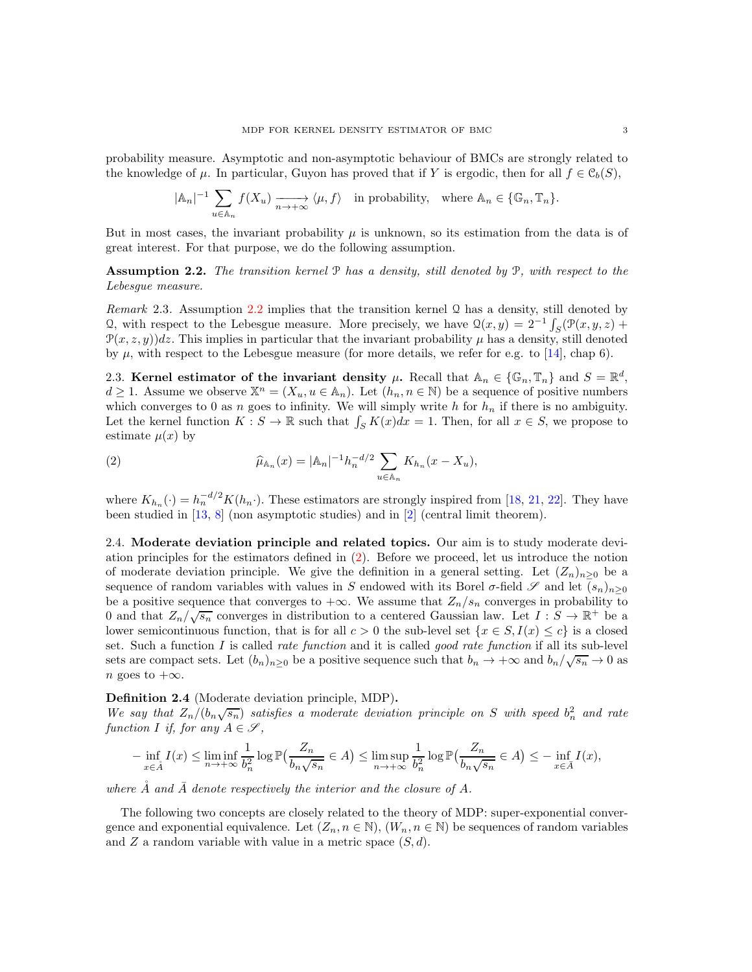probability measure. Asymptotic and non-asymptotic behaviour of BMCs are strongly related to the knowledge of  $\mu$ . In particular, Guyon has proved that if Y is ergodic, then for all  $f \in \mathcal{C}_b(S)$ ,

$$
|\mathbb{A}_n|^{-1} \sum_{u \in \mathbb{A}_n} f(X_u) \xrightarrow[n \to +\infty]{} \langle \mu, f \rangle \quad \text{in probability, where } \mathbb{A}_n \in \{\mathbb{G}_n, \mathbb{T}_n\}.
$$

But in most cases, the invariant probability  $\mu$  is unknown, so its estimation from the data is of great interest. For that purpose, we do the following assumption.

<span id="page-2-0"></span>Assumption 2.2. *The transition kernel* P *has a density, still denoted by* P*, with respect to the Lebesgue measure.*

*Remark* 2.3*.* Assumption [2.2](#page-2-0) implies that the transition kernel Q has a density, still denoted by Q, with respect to the Lebesgue measure. More precisely, we have  $\mathcal{Q}(x, y) = 2^{-1} \int_{S} (\mathcal{P}(x, y, z) +$  $\mathcal{P}(x, z, y)$  dz. This implies in particular that the invariant probability  $\mu$  has a density, still denoted by  $\mu$ , with respect to the Lebesgue measure (for more details, we refer for e.g. to [\[14\]](#page-26-6), chap 6).

2.3. Kernel estimator of the invariant density  $\mu$ . Recall that  $\mathbb{A}_n \in \{\mathbb{G}_n, \mathbb{T}_n\}$  and  $S = \mathbb{R}^d$ ,  $d \geq 1$ . Assume we observe  $\mathbb{X}^n = (X_u, u \in \mathbb{A}_n)$ . Let  $(h_n, n \in \mathbb{N})$  be a sequence of positive numbers which converges to 0 as n goes to infinity. We will simply write h for  $h_n$  if there is no ambiguity. Let the kernel function  $K : S \to \mathbb{R}$  such that  $\int_S K(x)dx = 1$ . Then, for all  $x \in S$ , we propose to estimate  $\mu(x)$  by

<span id="page-2-1"></span>(2) 
$$
\widehat{\mu}_{\mathbb{A}_n}(x) = |\mathbb{A}_n|^{-1} h_n^{-d/2} \sum_{u \in \mathbb{A}_n} K_{h_n}(x - X_u),
$$

where  $K_{h_n}(\cdot) = h_n^{-d/2} K(h_n \cdot)$ . These estimators are strongly inspired from [\[18,](#page-26-7) [21,](#page-26-8) [22\]](#page-26-9). They have been studied in [\[13,](#page-26-1) [8\]](#page-26-5) (non asymptotic studies) and in [\[2\]](#page-25-3) (central limit theorem).

2.4. Moderate deviation principle and related topics. Our aim is to study moderate deviation principles for the estimators defined in [\(2\)](#page-2-1). Before we proceed, let us introduce the notion of moderate deviation principle. We give the definition in a general setting. Let  $(Z_n)_{n>0}$  be a sequence of random variables with values in S endowed with its Borel  $\sigma$ -field  $\mathscr S$  and let  $(s_n)_{n\geq 0}$ be a positive sequence that converges to  $+\infty$ . We assume that  $Z_n/s_n$  converges in probability to 0 and that  $Z_n/\sqrt{s_n}$  converges in distribution to a centered Gaussian law. Let  $I : S \to \mathbb{R}^+$  be a lower semicontinuous function, that is for all  $c > 0$  the sub-level set  $\{x \in S, I(x) \leq c\}$  is a closed set. Such a function I is called *rate function* and it is called *good rate function* if all its sub-level sets are compact sets. Let  $(b_n)_{n\geq 0}$  be a positive sequence such that  $b_n \to +\infty$  and  $b_n/\sqrt{s_n} \to 0$  as n goes to  $+\infty$ .

Definition 2.4 (Moderate deviation principle, MDP).

We say that  $Z_n/(b_n\sqrt{s_n})$  satisfies a moderate deviation principle on S with speed  $b_n^2$  and rate *function I if, for any*  $A \in \mathcal{S}$ ,

$$
-\inf_{x\in\mathring{A}}I(x)\leq \liminf_{n\to+\infty}\frac{1}{b_n^2}\log\mathbb{P}\left(\frac{Z_n}{b_n\sqrt{s_n}}\in A\right)\leq \limsup_{n\to+\infty}\frac{1}{b_n^2}\log\mathbb{P}\left(\frac{Z_n}{b_n\sqrt{s_n}}\in A\right)\leq -\inf_{x\in\bar{A}}I(x),
$$

where  $\AA$  and  $\overline{A}$  denote respectively the interior and the closure of A.

The following two concepts are closely related to the theory of MDP: super-exponential convergence and exponential equivalence. Let  $(Z_n, n \in \mathbb{N})$ ,  $(W_n, n \in \mathbb{N})$  be sequences of random variables and Z a random variable with value in a metric space  $(S, d)$ .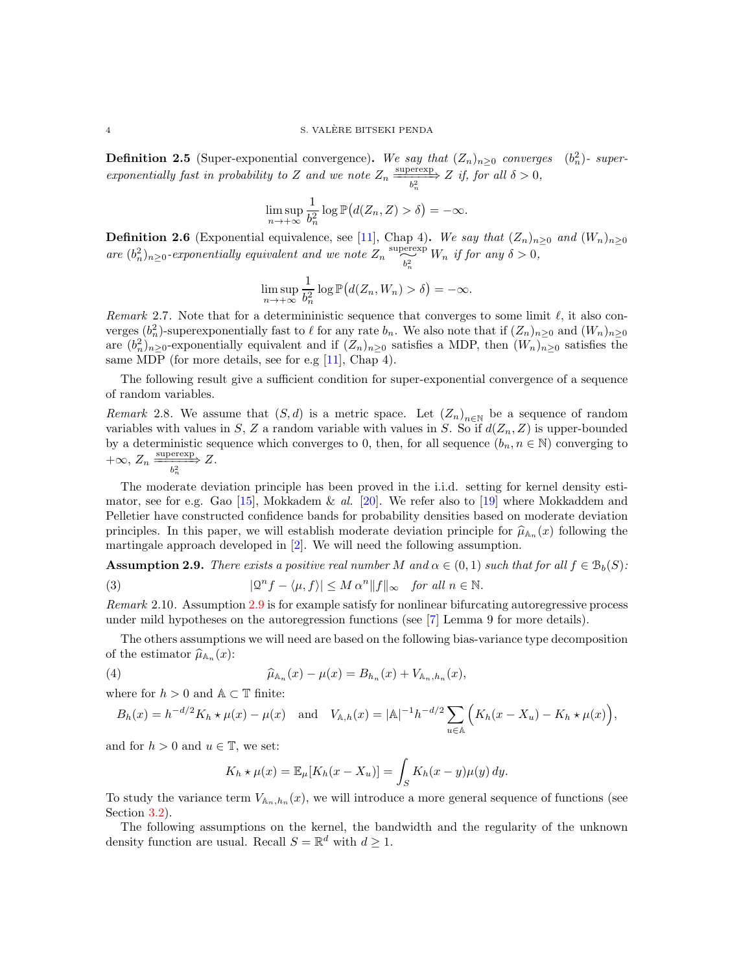**Definition 2.5** (Super-exponential convergence). We say that  $(Z_n)_{n\geq 0}$  converges  $(b_n^2)$ - super*exponentially fast in probability to* Z *and* we note  $Z_n \xrightarrow[b_n^2]{} Z$  *if, for all*  $\delta > 0$ *,* 

$$
\limsup_{n \to +\infty} \frac{1}{b_n^2} \log \mathbb{P}\big(d(Z_n, Z) > \delta\big) = -\infty.
$$

**Definition 2.6** (Exponential equivalence, see [\[11\]](#page-26-10), Chap 4). We say that  $(Z_n)_{n>0}$  and  $(W_n)_{n>0}$ are  $(b_n^2)_{n\geq 0}$ -exponentially equivalent and we note  $Z_n \xrightarrow[b_n^2]{\text{supersym}} W_n$  if for any  $\delta > 0$ ,

$$
\limsup_{n \to +\infty} \frac{1}{b_n^2} \log \mathbb{P}\big(d(Z_n, W_n) > \delta\big) = -\infty.
$$

<span id="page-3-2"></span>*Remark* 2.7. Note that for a determinimistic sequence that converges to some limit  $\ell$ , it also converges  $(b_n^2)$ -superexponentially fast to  $\ell$  for any rate  $b_n$ . We also note that if  $(Z_n)_{n\geq 0}$  and  $(W_n)_{n\geq 0}$ are  $(b_n^2)_{n\geq 0}$ -exponentially equivalent and if  $(Z_n)_{n\geq 0}$  satisfies a MDP, then  $(W_n)_{n\geq 0}$  satisfies the same MDP (for more details, see for e.g [\[11\]](#page-26-10), Chap 4).

The following result give a sufficient condition for super-exponential convergence of a sequence of random variables.

<span id="page-3-4"></span>*Remark* 2.8. We assume that  $(S, d)$  is a metric space. Let  $(Z_n)_{n \in \mathbb{N}}$  be a sequence of random variables with values in S, Z a random variable with values in S. So if  $d(Z_n, Z)$  is upper-bounded by a deterministic sequence which converges to 0, then, for all sequence  $(b_n, n \in \mathbb{N})$  converging to  $+\infty$ ,  $Z_n \xrightarrow[b_n^2]{} Z.$ 

The moderate deviation principle has been proved in the i.i.d. setting for kernel density estimator, see for e.g. Gao [\[15\]](#page-26-11), Mokkadem & *al.* [\[20\]](#page-26-12). We refer also to [\[19\]](#page-26-13) where Mokkaddem and Pelletier have constructed confidence bands for probability densities based on moderate deviation principles. In this paper, we will establish moderate deviation principle for  $\hat{\mu}_{A_n}(x)$  following the martingale approach developed in [\[2\]](#page-25-3). We will need the following assumption.

<span id="page-3-0"></span>**Assumption 2.9.** *There exists a positive real number* M and  $\alpha \in (0,1)$  *such that for all*  $f \in \mathcal{B}_b(S)$ :

<span id="page-3-3"></span>(3) 
$$
|\mathcal{Q}^n f - \langle \mu, f \rangle| \leq M \alpha^n \|f\|_{\infty} \quad \text{for all } n \in \mathbb{N}.
$$

*Remark* 2.10*.* Assumption [2.9](#page-3-0) is for example satisfy for nonlinear bifurcating autoregressive process under mild hypotheses on the autoregression functions (see [\[7\]](#page-26-14) Lemma 9 for more details).

The others assumptions we will need are based on the following bias-variance type decomposition of the estimator  $\widehat{\mu}_{A_n}(x)$ :

(4) 
$$
\widehat{\mu}_{\mathbb{A}_n}(x) - \mu(x) = B_{h_n}(x) + V_{\mathbb{A}_n, h_n}(x),
$$

where for  $h > 0$  and  $\mathbb{A} \subset \mathbb{T}$  finite:

$$
B_h(x) = h^{-d/2} K_h \star \mu(x) - \mu(x) \quad \text{and} \quad V_{\mathbb{A},h}(x) = |\mathbb{A}|^{-1} h^{-d/2} \sum_{u \in \mathbb{A}} \left( K_h(x - X_u) - K_h \star \mu(x) \right),
$$

and for  $h > 0$  and  $u \in \mathbb{T}$ , we set:

<span id="page-3-1"></span>
$$
K_h \star \mu(x) = \mathbb{E}_{\mu}[K_h(x - X_u)] = \int_S K_h(x - y)\mu(y) dy.
$$

To study the variance term  $V_{A_n,h_n}(x)$ , we will introduce a more general sequence of functions (see Section [3.2\)](#page-6-0).

The following assumptions on the kernel, the bandwidth and the regularity of the unknown density function are usual. Recall  $S = \mathbb{R}^d$  with  $d \geq 1$ .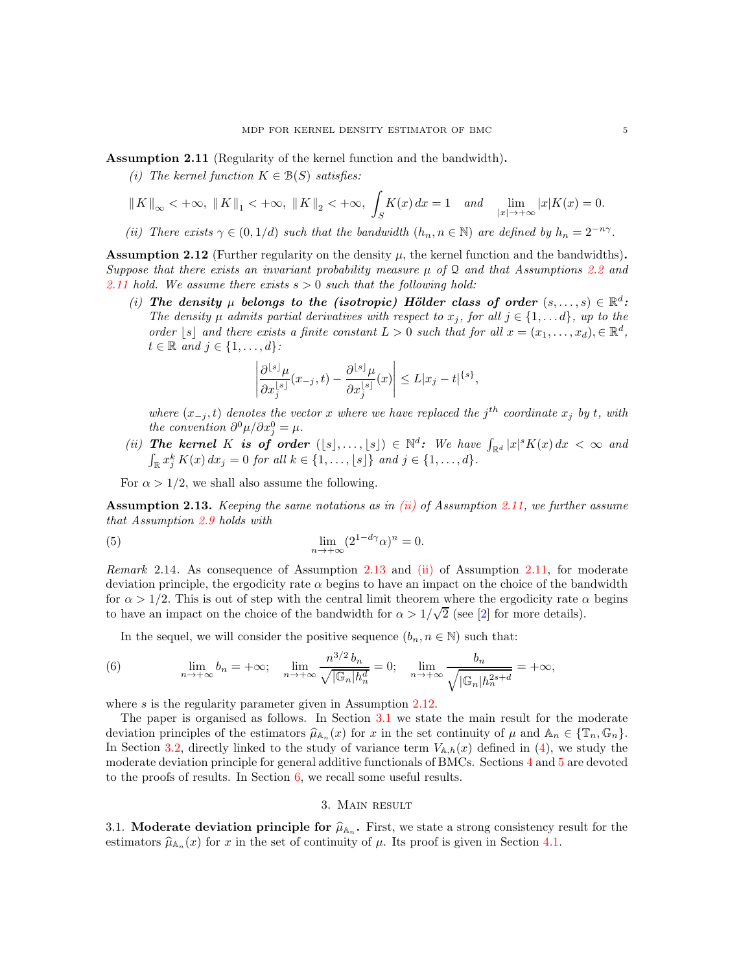<span id="page-4-0"></span>Assumption 2.11 (Regularity of the kernel function and the bandwidth).

*(i)* The kernel function  $K \in \mathcal{B}(S)$  satisfies:

$$
||K||_{\infty} < +\infty, ||K||_{1} < +\infty, ||K||_{2} < +\infty, \int_{S} K(x) dx = 1
$$
 and  $\lim_{|x| \to +\infty} |x| K(x) = 0.$ 

<span id="page-4-1"></span>*(ii)* There exists  $\gamma \in (0, 1/d)$  *such that the bandwidth*  $(h_n, n \in \mathbb{N})$  *are defined by*  $h_n = 2^{-n\gamma}$ *.* 

<span id="page-4-3"></span>**Assumption 2.12** (Further regularity on the density  $\mu$ , the kernel function and the bandwidths). *Suppose that there exists an invariant probability measure*  $\mu$  *of*  $\Omega$  *and that Assumptions* [2.2](#page-2-0) *and [2.11](#page-4-0) hold. We assume there exists* s > 0 *such that the following hold:*

(i) The density  $\mu$  belongs to the (isotropic) Hölder class of order  $(s, \ldots, s) \in \mathbb{R}^d$ : *The density*  $\mu$  *admits partial derivatives with respect to*  $x_j$ *, for all*  $j \in \{1, \ldots d\}$ *, up to the order* [s] and there exists a finite constant  $L > 0$  such that for all  $x = (x_1, \ldots, x_d)$ ,  $\in \mathbb{R}^d$ ,  $t \in \mathbb{R}$  and  $j \in \{1, \ldots, d\}$ :

<span id="page-4-6"></span>
$$
\left|\frac{\partial^{\lfloor s\rfloor}\mu}{\partial x_j^{\lfloor s\rfloor}}(x_{-j},t)-\frac{\partial^{\lfloor s\rfloor}\mu}{\partial x_j^{\lfloor s\rfloor}}(x)\right|\leq L|x_j-t|^{\{s\}},
$$

*where*  $(x_{-j}, t)$  *denotes the vector* x *where* we have replaced the j<sup>th</sup> coordinate  $x_j$  by t, with *the convention*  $\partial^0 \mu / \partial x_j^0 = \mu$ .

(*ii*) The kernel K is of order  $([s], \ldots, [s]) \in \mathbb{N}^d$ : We have  $\int_{\mathbb{R}^d} |x|^s K(x) dx < \infty$  and  $\int_{\mathbb{R}^d} x_j^k K(x) dx_j = 0$  for all  $k \in \{1, \ldots, [s]\}$  and  $j \in \{1, \ldots, d\}$ .

For  $\alpha > 1/2$ , we shall also assume the following.

<span id="page-4-2"></span>Assumption 2.13. *Keeping the same notations as in [\(ii\)](#page-4-1) of Assumption [2.11,](#page-4-0) we further assume that Assumption [2.9](#page-3-0) holds with*

(5) 
$$
\lim_{n \to +\infty} (2^{1-d\gamma} \alpha)^n = 0.
$$

*Remark* 2.14*.* As consequence of Assumption [2.13](#page-4-2) and [\(ii\)](#page-4-1) of Assumption [2.11,](#page-4-0) for moderate deviation principle, the ergodicity rate  $\alpha$  begins to have an impact on the choice of the bandwidth for  $\alpha > 1/2$ . This is out of step with the central limit theorem where the ergodicity rate  $\alpha$  begins to have an impact on the choice of the bandwidth for  $\alpha > 1/\sqrt{2}$  (see [\[2\]](#page-25-3) for more details).

<span id="page-4-5"></span>In the sequel, we will consider the positive sequence  $(b_n, n \in \mathbb{N})$  such that:

(6) 
$$
\lim_{n \to +\infty} b_n = +\infty; \quad \lim_{n \to +\infty} \frac{n^{3/2} b_n}{\sqrt{|\mathbb{G}_n| h_n^d}} = 0; \quad \lim_{n \to +\infty} \frac{b_n}{\sqrt{|\mathbb{G}_n| h_n^{2s+d}}} = +\infty,
$$

where  $s$  is the regularity parameter given in Assumption [2.12.](#page-4-3)

The paper is organised as follows. In Section [3.1](#page-4-4) we state the main result for the moderate deviation principles of the estimators  $\hat{\mu}_{A_n}(x)$  for x in the set continuity of  $\mu$  and  $A_n \in {\mathbb{R}}, {\mathbb{G}}_n$ .<br>In Section 2.2, directly linked to the study of provinces true  $V_n(\mu)$  defined in (4) are study that In Section [3.2,](#page-6-0) directly linked to the study of variance term  $V_{\mathbb{A},h}(x)$  defined in [\(4\)](#page-3-1), we study the moderate deviation principle for general additive functionals of BMCs. Sections [4](#page-7-0) and [5](#page-10-0) are devoted to the proofs of results. In Section  $6$ , we recall some useful results.

## 3. Main result

<span id="page-4-4"></span>3.1. **Moderate deviation principle for**  $\hat{\mu}_{A_n}$ . First, we state a strong consistency result for the extendence  $\hat{\mu}_{A_n}$  is the presenting in Section 4.1. estimators  $\hat{\mu}_{A_n}(x)$  for x in the set of continuity of  $\mu$ . Its proof is given in Section [4.1.](#page-7-1)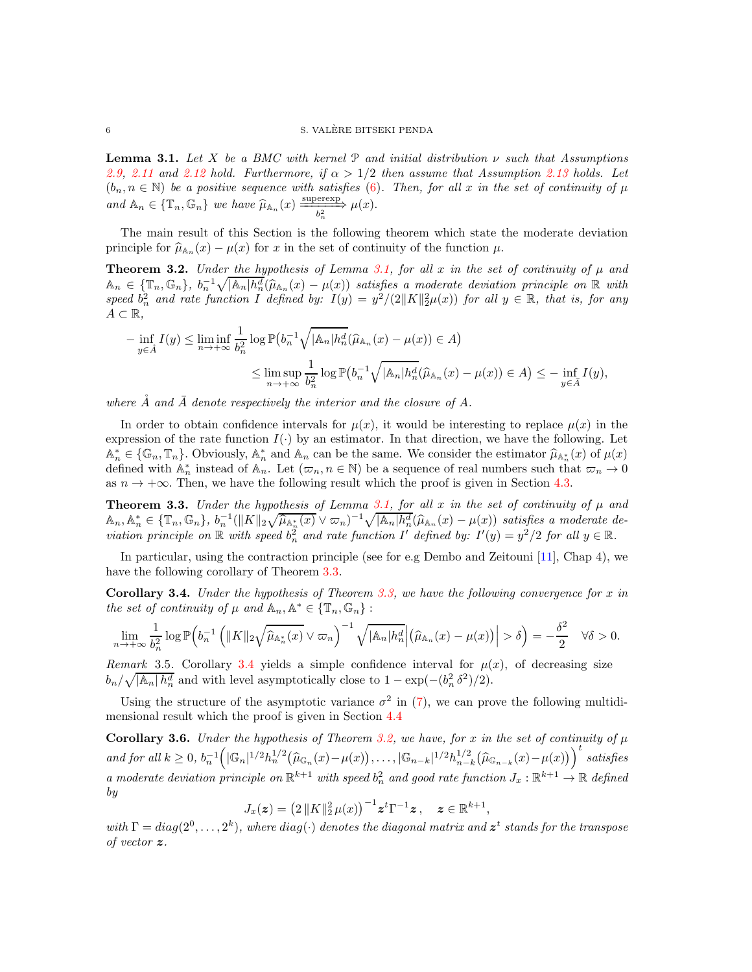<span id="page-5-0"></span>Lemma 3.1. *Let* X *be a BMC with kernel* P *and initial distribution* ν *such that Assumptions* [2.9,](#page-3-0) [2.11](#page-4-0) and [2.12](#page-4-3) hold. Furthermore, if  $\alpha > 1/2$  then assume that Assumption [2.13](#page-4-2) holds. Let  $(b_n, n \in \mathbb{N})$  *be a positive sequence with satisfies* [\(6\)](#page-4-5). Then, for all x *in the set of continuity of*  $\mu$ and  $\mathbb{A}_n \in \{\mathbb{T}_n, \mathbb{G}_n\}$  we have  $\widehat{\mu}_{\mathbb{A}_n}(x) \xrightarrow[\frac{1}{b_n^2}]{\text{superscript{sup}}}\mu(x)$ .

The main result of this Section is the following theorem which state the moderate deviation principle for  $\widehat{\mu}_{\mathbb{A}_n}(x) - \mu(x)$  for x in the set of continuity of the function  $\mu$ .

<span id="page-5-3"></span>**Theorem 3.2.** *Under the hypothesis of Lemma [3.1,](#page-5-0) for all* x *in the set of continuity of*  $\mu$  *and*  $A_n \in \{\mathbb{T}_n, \mathbb{G}_n\}, b_n^{-1} \sqrt{A_n | h_n^d} (\hat{\mu}_{A_n}(x) - \mu(x))$  satisfies a moderate deviation principle on R with speed  $b_n^2$  and rate function I defined by:  $I(y) = y^2/(2||K||_2^2 \mu(x))$  for all  $y \in \mathbb{R}$ , that is, for any  $A \subset \mathbb{R}$ ,

$$
-\inf_{y \in \mathring{A}} I(y) \le \liminf_{n \to +\infty} \frac{1}{b_n^2} \log \mathbb{P}\big(b_n^{-1} \sqrt{|\mathbb{A}_n| h_n^d} (\widehat{\mu}_{\mathbb{A}_n}(x) - \mu(x)) \in A\big)
$$
  

$$
\le \limsup_{n \to +\infty} \frac{1}{b_n^2} \log \mathbb{P}\big(b_n^{-1} \sqrt{|\mathbb{A}_n| h_n^d} (\widehat{\mu}_{\mathbb{A}_n}(x) - \mu(x)) \in A\big) \le -\inf_{y \in \bar{A}} I(y),
$$

where  $\dot{A}$  and  $\bar{A}$  denote respectively the interior and the closure of  $A$ .

In order to obtain confidence intervals for  $\mu(x)$ , it would be interesting to replace  $\mu(x)$  in the expression of the rate function  $I(\cdot)$  by an estimator. In that direction, we have the following. Let  $\mathbb{A}_n^* \in \{\mathbb{G}_n, \mathbb{T}_n\}$ . Obviously,  $\mathbb{A}_n^*$  and  $\mathbb{A}_n$  can be the same. We consider the estimator  $\hat{\mu}_{\mathbb{A}_n^*}(x)$  of  $\mu(x)$ defined with  $\mathbb{A}_n^*$  instead of  $\mathbb{A}_n$ . Let  $(\varpi_n, n \in \mathbb{N})$  be a sequence of real numbers such that  $\varpi_n \to 0$ as  $n \to +\infty$ . Then, we have the following result which the proof is given in Section [4.3.](#page-8-0)

<span id="page-5-1"></span>**Theorem 3.3.** *Under the hypothesis of Lemma [3.1,](#page-5-0) for all* x *in the set of continuity of*  $\mu$  *and*  $A_n, A_n^* \in \{\mathbb{T}_n, \mathbb{G}_n\}, b_n^{-1}(\|K\|_2 \sqrt{\hat{\mu}_{\mathbb{A}_n^*}(x)} \vee \varpi_n)^{-1} \sqrt{|\mathbb{A}_n| h_n^d} (\hat{\mu}_{\mathbb{A}_n}(x) - \mu(x))$  satisfies a moderate de*viation principle on*  $\mathbb R$  *with speed*  $b_n^2$  *and rate function* I' *defined by:*  $I'(y) = y^2/2$  *for all*  $y \in \mathbb R$ *.* 

In particular, using the contraction principle (see for e.g Dembo and Zeitouni [\[11\]](#page-26-10), Chap 4), we have the following corollary of Theorem [3.3.](#page-5-1)

<span id="page-5-2"></span>Corollary 3.4. *Under the hypothesis of Theorem [3.3,](#page-5-1) we have the following convergence for* x *in the set of continuity of*  $\mu$  *and*  $\mathbb{A}_n, \mathbb{A}^* \in {\mathbb{T}_n, \mathbb{G}_n}$ :

$$
\lim_{n\to+\infty}\frac{1}{b_n^2}\log\mathbb{P}\Big(b_n^{-1}\left(\|K\|_2\sqrt{\widehat{\mu}_{\mathbb{A}_n^*}(x)}\vee\varpi_n\right)^{-1}\sqrt{|\mathbb{A}_n|h_n^d}\Big|\big(\widehat{\mu}_{\mathbb{A}_n}(x)-\mu(x)\big)\Big|>\delta\Big)=-\frac{\delta^2}{2}\quad\forall\delta>0.
$$

*Remark* 3.5. Corollary [3.4](#page-5-2) yields a simple confidence interval for  $\mu(x)$ , of decreasing size  $b_n/\sqrt{|\mathbb{A}_n| h_n^d}$  and with level asymptotically close to  $1 - \exp(-(b_n^2 \delta^2)/2)$ .

Using the structure of the asymptotic variance  $\sigma^2$  in [\(7\)](#page-6-1), we can prove the following multidimensional result which the proof is given in Section [4.4](#page-9-0)

<span id="page-5-4"></span>**Corollary 3.6.** *Under the hypothesis of Theorem [3.2,](#page-5-3) we have, for* x *in the set of continuity of*  $\mu$ *and for all*  $k \geq 0$ ,  $b_n^{-1} (|\mathbb{G}_n|^{1/2} h_n^{1/2} (\widehat{\mu}_{\mathbb{G}_n}(x) - \mu(x)), \ldots, |\mathbb{G}_{n-k}|^{1/2} h_{n-k}^{1/2})$  $\int_{n-k}^{1/2} (\widehat{\mu}_{\mathbb{G}_{n-k}}(x) - \mu(x)) \Big)^t$  satisfies a moderate deviation principle on  $\mathbb{R}^{k+1}$  with speed  $b_n^2$  and good rate function  $J_x : \mathbb{R}^{k+1} \to \mathbb{R}$  defined *by*

$$
J_x(z) = \left(2\,||K||_2^2\,\mu(x)\right)^{-1} z^t \Gamma^{-1} z\,, \quad z \in \mathbb{R}^{k+1},
$$

 $with \Gamma = diag(2^0, \ldots, 2^k)$ , where  $diag(\cdot)$  denotes the diagonal matrix and  $\boldsymbol{z}^t$  stands for the transpose *of vector* z*.*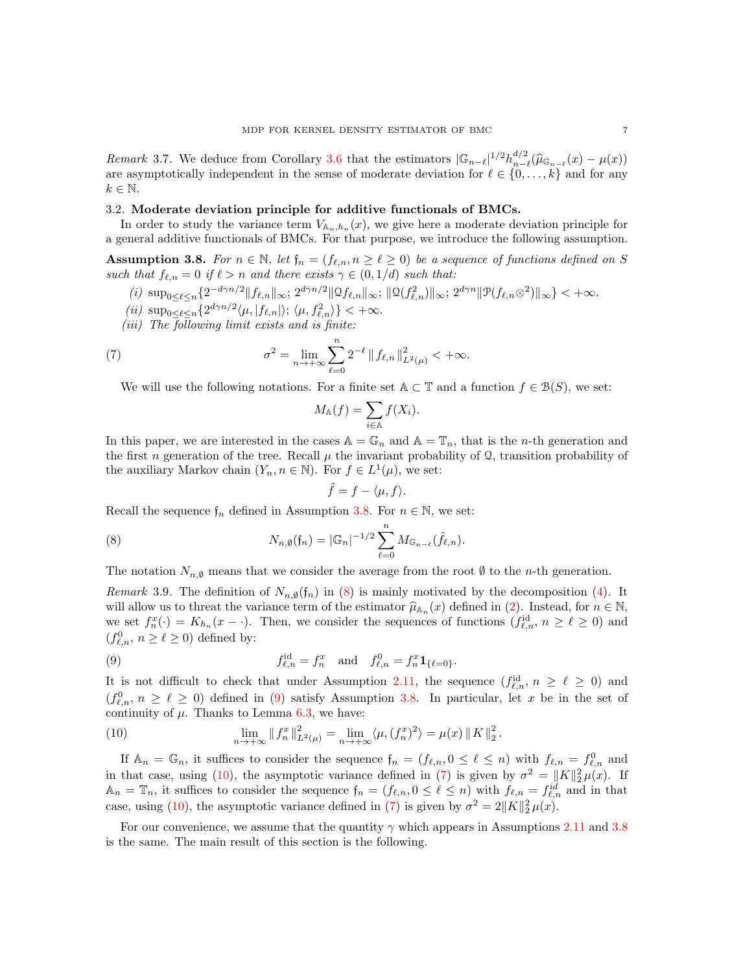*Remark* 3.7. We deduce from Corollary [3.6](#page-5-4) that the estimators  $|\mathbb{G}_{n-\ell}|^{1/2}h_{n-\ell}^{d/2}$  $\prod_{n=\ell}^{a/2} (\widehat{\mu}_{\mathbb{G}_{n-\ell}}(x) - \mu(x))$ are asymptotically independent in the sense of moderate deviation for  $\ell \in \{0, \ldots, k\}$  and for any  $k \in \mathbb{N}$ .

### <span id="page-6-0"></span>3.2. Moderate deviation principle for additive functionals of BMCs.

In order to study the variance term  $V_{A_n,h_n}(x)$ , we give here a moderate deviation principle for a general additive functionals of BMCs. For that purpose, we introduce the following assumption.

<span id="page-6-2"></span>Assumption 3.8. For  $n \in \mathbb{N}$ , let  $\mathfrak{f}_n = (f_{\ell,n}, n \geq \ell \geq 0)$  be a sequence of functions defined on S *such that*  $f_{\ell,n} = 0$  *if*  $\ell > n$  *and there exists*  $\gamma \in (0,1/d)$  *such that:* 

- $(i)\ \sup\nolimits_{0\leq \ell \leq n}\{2^{-d\gamma n/2}\|f_{\ell,n}\|_\infty;\ 2^{d\gamma n/2}\|\mathfrak Qf_{\ell,n}\|_\infty;\ \|\mathfrak Q(f_{\ell,n}^2)\|_\infty;\ 2^{d\gamma n}\|\mathfrak P(f_{\ell,n}\otimes^2)\|_\infty\}<+\infty.$
- $(iii)$  sup<sub>0</sub> $\leq \ell \leq n$ { $2^{d\gamma n/2}$  $\langle \mu, |f_{\ell,n}| \rangle$ ;  $\langle \mu, f_{\ell,n}^2 \rangle$ } < + $\infty$ .
- *(iii) The following limit exists and is finite:*

(7) 
$$
\sigma^2 = \lim_{n \to +\infty} \sum_{\ell=0}^n 2^{-\ell} \| f_{\ell,n} \|_{L^2(\mu)}^2 < +\infty.
$$

We will use the following notations. For a finite set  $A \subset \mathbb{T}$  and a function  $f \in \mathcal{B}(S)$ , we set:

<span id="page-6-1"></span>
$$
M_{\mathbb{A}}(f) = \sum_{i \in \mathbb{A}} f(X_i).
$$

In this paper, we are interested in the cases  $\mathbb{A} = \mathbb{G}_n$  and  $\mathbb{A} = \mathbb{T}_n$ , that is the *n*-th generation and the first n generation of the tree. Recall  $\mu$  the invariant probability of Q, transition probability of the auxiliary Markov chain  $(Y_n, n \in \mathbb{N})$ . For  $f \in L^1(\mu)$ , we set:

<span id="page-6-3"></span>
$$
\tilde{f}=f-\langle\mu,f\rangle.
$$

Recall the sequence  $f_n$  defined in Assumption [3.8.](#page-6-2) For  $n \in \mathbb{N}$ , we set:

(8) 
$$
N_{n,\emptyset}(\mathfrak{f}_n) = |\mathbb{G}_n|^{-1/2} \sum_{\ell=0}^n M_{\mathbb{G}_{n-\ell}}(\tilde{f}_{\ell,n}).
$$

The notation  $N_{n,\emptyset}$  means that we consider the average from the root  $\emptyset$  to the n-th generation.

*Remark* 3.9. The definition of  $N_{n,\emptyset}(\mathfrak{f}_n)$  in [\(8\)](#page-6-3) is mainly motivated by the decomposition [\(4\)](#page-3-1). It will allow us to threat the variance term of the estimator  $\hat{\mu}_{A_n}(x)$  defined in [\(2\)](#page-2-1). Instead, for  $n \in \mathbb{N}$ , we set  $f_n^x(\cdot) = K_{h_n}(x - \cdot)$ . Then, we consider the sequences of functions  $(f_{\ell,n}^{\text{id}}, n \geq \ell \geq 0)$  and  $(f^0_{\ell,n},\, n\geq \ell\geq 0)$  defined by:

<span id="page-6-4"></span>(9) 
$$
f_{\ell,n}^{\text{id}} = f_n^x \text{ and } f_{\ell,n}^0 = f_n^x \mathbf{1}_{\{\ell=0\}}.
$$

It is not difficult to check that under Assumption [2.11,](#page-4-0) the sequence  $(f_{\ell,n}^{id}, n \geq \ell \geq 0)$  and  $(f_{\ell,n}^0, n \geq \ell \geq 0)$  defined in [\(9\)](#page-6-4) satisfy Assumption [3.8.](#page-6-2) In particular, let x be in the set of continuity of  $\mu$ . Thanks to Lemma [6.3,](#page-24-1) we have:

<span id="page-6-5"></span>(10) 
$$
\lim_{n \to +\infty} \|f_n^x\|_{L^2(\mu)}^2 = \lim_{n \to +\infty} \langle \mu, (f_n^x)^2 \rangle = \mu(x) \|K\|_2^2.
$$

If  $\mathbb{A}_n = \mathbb{G}_n$ , it suffices to consider the sequence  $\mathfrak{f}_n = (f_{\ell,n}, 0 \leq \ell \leq n)$  with  $f_{\ell,n} = f_{\ell,n}^0$  and in that case, using [\(10\)](#page-6-5), the asymptotic variance defined in [\(7\)](#page-6-1) is given by  $\sigma^2 = ||K||_2^2 \mu(x)$ . If  $\mathbb{A}_n = \mathbb{T}_n$ , it suffices to consider the sequence  $\mathfrak{f}_n = (f_{\ell,n}, 0 \leq \ell \leq n)$  with  $f_{\ell,n} = f_{\ell,n}^{id}$  and in that case, using [\(10\)](#page-6-5), the asymptotic variance defined in [\(7\)](#page-6-1) is given by  $\sigma^2 = 2||K||_2^2 \mu(x)$ .

For our convenience, we assume that the quantity  $\gamma$  which appears in Assumptions [2.11](#page-4-0) and [3.8](#page-6-2) is the same. The main result of this section is the following.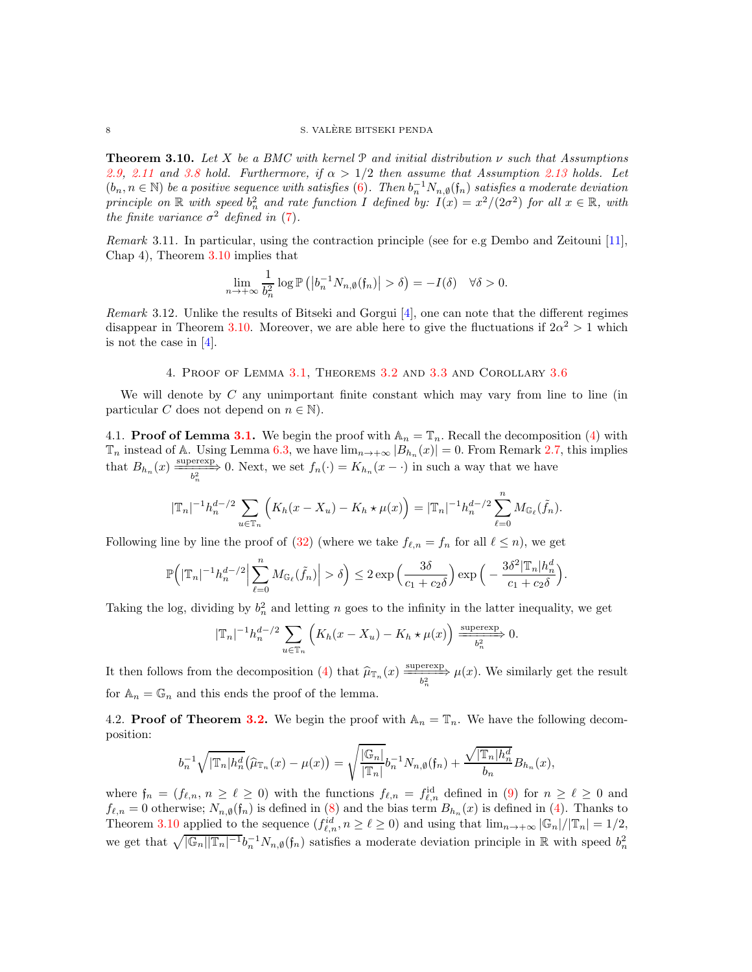<span id="page-7-2"></span>Theorem 3.10. *Let* X *be a BMC with kernel* P *and initial distribution* ν *such that Assumptions [2.9,](#page-3-0) [2.11](#page-4-0)* and *[3.8](#page-6-2) hold.* Furthermore, if  $\alpha > 1/2$  then assume that Assumption [2.13](#page-4-2) holds. Let  $(b_n, n \in \mathbb{N})$  *be a positive sequence with satisfies* [\(6\)](#page-4-5). Then  $b_n^{-1}N_{n,0}(f_n)$  *satisfies a moderate deviation principle on*  $\mathbb R$  *with speed*  $b_n^2$  *and rate function* I *defined by:*  $I(x) = x^2/(2\sigma^2)$  *for all*  $x \in \mathbb R$ *, with the finite variance*  $\sigma^2$  *defined in* [\(7\)](#page-6-1).

*Remark* 3.11*.* In particular, using the contraction principle (see for e.g Dembo and Zeitouni [\[11\]](#page-26-10), Chap 4), Theorem [3.10](#page-7-2) implies that

$$
\lim_{n \to +\infty} \frac{1}{b_n^2} \log \mathbb{P}\left( \left| b_n^{-1} N_{n,\emptyset}(\mathfrak{f}_n) \right| > \delta \right) = -I(\delta) \quad \forall \delta > 0.
$$

*Remark* 3.12*.* Unlike the results of Bitseki and Gorgui [\[4\]](#page-25-4), one can note that the different regimes disappear in Theorem [3.10.](#page-7-2) Moreover, we are able here to give the fluctuations if  $2\alpha^2 > 1$  which is not the case in [\[4\]](#page-25-4).

### 4. Proof of Lemma [3.1,](#page-5-0) Theorems [3.2](#page-5-3) and [3.3](#page-5-1) and Corollary [3.6](#page-5-4)

<span id="page-7-0"></span>We will denote by  $C$  any unimportant finite constant which may vary from line to line (in particular C does not depend on  $n \in \mathbb{N}$ .

<span id="page-7-1"></span>4.1. **Proof of Lemma [3.1.](#page-5-0)** We begin the proof with  $\mathbb{A}_n = \mathbb{T}_n$ . Recall the decomposition [\(4\)](#page-3-1) with  $\mathbb{T}_n$  instead of A. Using Lemma [6.3,](#page-24-1) we have  $\lim_{n\to+\infty} |B_{h_n}(x)| = 0$ . From Remark [2.7,](#page-3-2) this implies that  $B_{h_n}(x) \xrightarrow[b_n^2]{} 0$ . Next, we set  $f_n(\cdot) = K_{h_n}(x - \cdot)$  in such a way that we have

$$
|\mathbb{T}_n|^{-1}h_n^{d-2} \sum_{u \in \mathbb{T}_n} \left( K_h(x - X_u) - K_h \star \mu(x) \right) = |\mathbb{T}_n|^{-1}h_n^{d-2} \sum_{\ell=0}^n M_{\mathbb{G}_\ell}(\tilde{f}_n).
$$

Following line by line the proof of [\(32\)](#page-13-0) (where we take  $f_{\ell,n} = f_n$  for all  $\ell \leq n$ ), we get

$$
\mathbb{P}\Big(|\mathbb{T}_n|^{-1}h_n^{d-2}\Big|\sum_{\ell=0}^n M_{\mathbb{G}_{\ell}}(\tilde{f}_n)\Big|>\delta\Big)\leq 2\exp\Big(\frac{3\delta}{c_1+c_2\delta}\Big)\exp\Big(-\frac{3\delta^2|\mathbb{T}_n|h_n^d}{c_1+c_2\delta}\Big).
$$

Taking the log, dividing by  $b_n^2$  and letting n goes to the infinity in the latter inequality, we get

$$
|\mathbb{T}_n|^{-1}h_n^{d-2}\sum_{u\in\mathbb{T}_n}\left(K_h(x-X_u)-K_h\star\mu(x)\right)\xrightarrow{\text{supercxp}} 0.
$$

It then follows from the decomposition [\(4\)](#page-3-1) that  $\hat{\mu}_{\mathbb{T}_n}(x) \xrightarrow[b_n^2]{\text{supercexp}} \mu(x)$ . We similarly get the result for  $\mathbb{A}_n = \mathbb{G}_n$  and this ends the proof of the lemma.

4.2. **Proof of Theorem [3.2.](#page-5-3)** We begin the proof with  $\mathbb{A}_n = \mathbb{T}_n$ . We have the following decomposition:

$$
b_n^{-1}\sqrt{|\mathbb{T}_n|h_n^d}(\widehat{\mu}_{\mathbb{T}_n}(x)-\mu(x))=\sqrt{\frac{|\mathbb{G}_n|}{|\mathbb{T}_n|}}b_n^{-1}N_{n,\emptyset}(\mathfrak{f}_n)+\frac{\sqrt{|\mathbb{T}_n|h_n^d}}{b_n}B_{h_n}(x),
$$

where  $\mathfrak{f}_n = (f_{\ell,n}, n \geq \ell \geq 0)$  with the functions  $f_{\ell,n} = f_{\ell,n}^{\text{id}}$  defined in [\(9\)](#page-6-4) for  $n \geq \ell \geq 0$  and  $f_{\ell,n} = 0$  otherwise;  $N_{n,\emptyset}(\mathfrak{f}_n)$  is defined in [\(8\)](#page-6-3) and the bias term  $B_{h_n}(x)$  is defined in [\(4\)](#page-3-1). Thanks to Theorem [3.10](#page-7-2) applied to the sequence  $(f_{\ell,n}^{id}, n \geq \ell \geq 0)$  and using that  $\lim_{n \to +\infty} |\mathbb{G}_n|/|\mathbb{T}_n| = 1/2$ , we get that  $\sqrt{|\mathbb{G}_n||\mathbb{T}_n|^{-1}b_n^{-1}N_{n,\emptyset}(\mathfrak{f}_n)}$  satisfies a moderate deviation principle in R with speed  $b_n^2$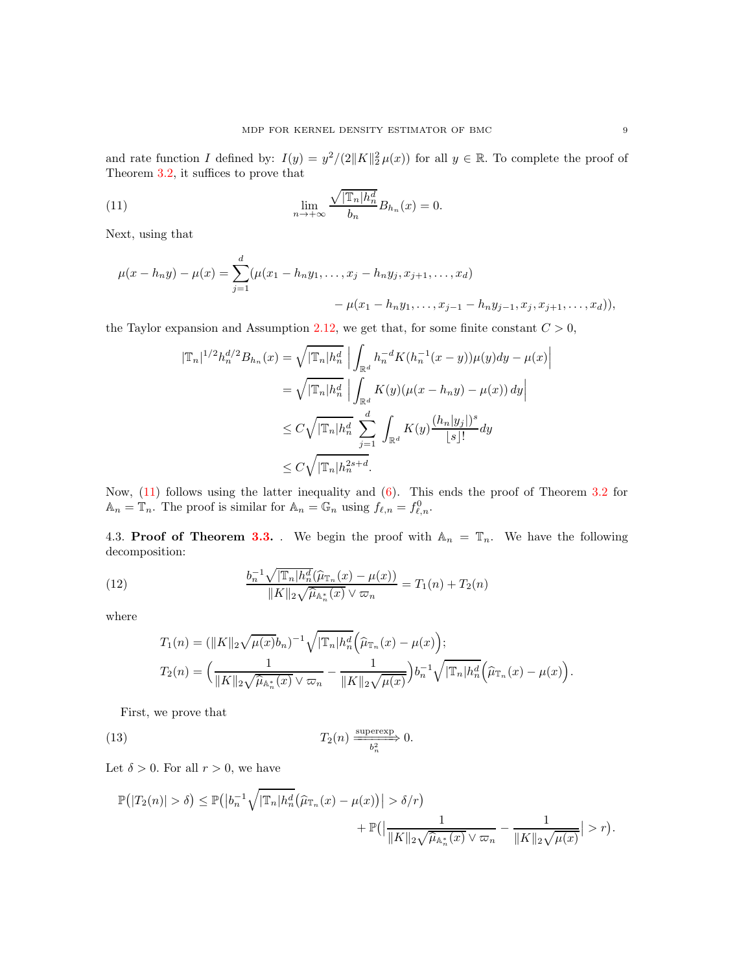and rate function I defined by:  $I(y) = y^2/(2||K||_2^2 \mu(x))$  for all  $y \in \mathbb{R}$ . To complete the proof of Theorem [3.2,](#page-5-3) it suffices to prove that

(11) 
$$
\lim_{n \to +\infty} \frac{\sqrt{|\mathbb{T}_n|h_n^d}}{b_n} B_{h_n}(x) = 0.
$$

Next, using that

$$
\mu(x - h_n y) - \mu(x) = \sum_{j=1}^d (\mu(x_1 - h_n y_1, \dots, x_j - h_n y_j, x_{j+1}, \dots, x_d)
$$

$$
- \mu(x_1 - h_n y_1, \dots, x_{j-1} - h_n y_{j-1}, x_j, x_{j+1}, \dots, x_d)),
$$

the Taylor expansion and Assumption [2.12,](#page-4-3) we get that, for some finite constant  $C > 0$ ,

<span id="page-8-1"></span>
$$
|\mathbb{T}_n|^{1/2} h_n^{d/2} B_{h_n}(x) = \sqrt{|\mathbb{T}_n| h_n^d} \left| \int_{\mathbb{R}^d} h_n^{-d} K(h_n^{-1}(x - y)) \mu(y) dy - \mu(x) \right|
$$
  

$$
= \sqrt{|\mathbb{T}_n| h_n^d} \left| \int_{\mathbb{R}^d} K(y) (\mu(x - h_n y) - \mu(x)) dy \right|
$$
  

$$
\leq C \sqrt{|\mathbb{T}_n| h_n^d} \sum_{j=1}^d \int_{\mathbb{R}^d} K(y) \frac{(h_n|y_j|)^s}{|s|!} dy
$$
  

$$
\leq C \sqrt{|\mathbb{T}_n| h_n^{2s+d}}.
$$

Now,  $(11)$  follows using the latter inequality and  $(6)$ . This ends the proof of Theorem [3.2](#page-5-3) for  $\mathbb{A}_n = \mathbb{T}_n$ . The proof is similar for  $\mathbb{A}_n = \mathbb{G}_n$  using  $f_{\ell,n} = f_{\ell,n}^0$ .

<span id="page-8-0"></span>4.3. Proof of Theorem [3.3.](#page-5-1) We begin the proof with  $A_n = T_n$ . We have the following decomposition:

(12) 
$$
\frac{b_n^{-1} \sqrt{|\mathbb{T}_n| h_n^d}(\hat{\mu}_{\mathbb{T}_n}(x) - \mu(x))}{\|K\|_2 \sqrt{\hat{\mu}_{\mathbb{A}_n^*}(x)} \vee \varpi_n} = T_1(n) + T_2(n)
$$

where

<span id="page-8-3"></span><span id="page-8-2"></span>
$$
T_1(n) = (\|K\|_2 \sqrt{\mu(x)} b_n)^{-1} \sqrt{|\mathbb{T}_n| h_n^d} \left(\widehat{\mu}_{\mathbb{T}_n}(x) - \mu(x)\right);
$$
  

$$
T_2(n) = \left(\frac{1}{\|K\|_2 \sqrt{\widehat{\mu}_{\mathbb{A}_n^*}(x)} \vee \varpi_n} - \frac{1}{\|K\|_2 \sqrt{\mu(x)}}\right) b_n^{-1} \sqrt{|\mathbb{T}_n| h_n^d} \left(\widehat{\mu}_{\mathbb{T}_n}(x) - \mu(x)\right).
$$

First, we prove that

(13) 
$$
T_2(n) \xrightarrow{\text{superexp}} 0.
$$

Let  $\delta > 0$ . For all  $r > 0$ , we have

$$
\mathbb{P}(|T_2(n)| > \delta) \le \mathbb{P}(|b_n^{-1}\sqrt{|\mathbb{T}_n|h_n^d}(\widehat{\mu}_{\mathbb{T}_n}(x) - \mu(x))| > \delta/r) + \mathbb{P}(|\frac{1}{\|K\|_2\sqrt{\widehat{\mu}_{\mathbb{A}_n^*}(x)} \vee \varpi_n} - \frac{1}{\|K\|_2\sqrt{\mu(x)}}| > r).
$$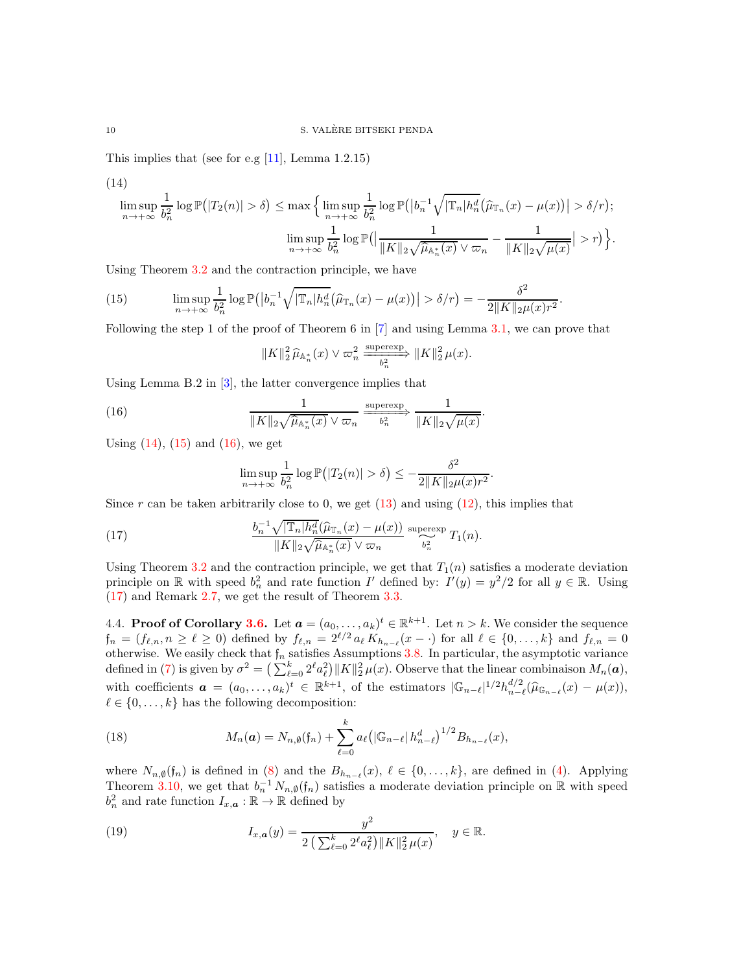This implies that (see for e.g  $[11]$ , Lemma 1.2.15)

<span id="page-9-1"></span>(14)  
\n
$$
\limsup_{n \to +\infty} \frac{1}{b_n^2} \log \mathbb{P}(|T_2(n)| > \delta) \le \max \Big\{ \limsup_{n \to +\infty} \frac{1}{b_n^2} \log \mathbb{P}(|b_n^{-1} \sqrt{|\mathbb{T}_n|} h_n^d (\widehat{\mu}_{\mathbb{T}_n}(x) - \mu(x))| > \delta/r);
$$
\n
$$
\limsup_{n \to +\infty} \frac{1}{b_n^2} \log \mathbb{P}(|\frac{1}{\|K\|_2 \sqrt{\widehat{\mu}_{\mathbb{A}_n^*}(x)} \vee \varpi_n} - \frac{1}{\|K\|_2 \sqrt{\mu(x)}}| > r) \Big\}.
$$

Using Theorem [3.2](#page-5-3) and the contraction principle, we have

<span id="page-9-2"></span>(15) 
$$
\limsup_{n \to +\infty} \frac{1}{b_n^2} \log \mathbb{P}(|b_n^{-1} \sqrt{|\mathbb{T}_n| h_n^d} (\widehat{\mu}_{\mathbb{T}_n}(x) - \mu(x))| > \delta/r) = -\frac{\delta^2}{2 \|K\|_2 \mu(x) r^2}.
$$

Following the step 1 of the proof of Theorem 6 in  $[7]$  and using Lemma [3.1,](#page-5-0) we can prove that

$$
\|K\|_2^2 \, \widehat{\mu}_{\mathbb{A}_n^*}(x) \vee \varpi_n^2 \xrightarrow[\phantom{a} b_n^2]{} \|K\|_2^2 \, \mu(x).
$$

.

Using Lemma B.2 in [\[3\]](#page-25-5), the latter convergence implies that

(16) 
$$
\frac{1}{\|K\|_2 \sqrt{\hat{\mu}_{\mathbb{A}_n^*}(x)} \vee \varpi_n} \xrightarrow{\text{superexp}} \frac{1}{\|K\|_2 \sqrt{\mu(x)}}
$$

Using  $(14)$ ,  $(15)$  and  $(16)$ , we get

<span id="page-9-4"></span><span id="page-9-3"></span>
$$
\limsup_{n \to +\infty} \frac{1}{b_n^2} \log \mathbb{P}\big(|T_2(n)| > \delta\big) \leq -\frac{\delta^2}{2\|K\|_2 \mu(x) r^2}.
$$

Since r can be taken arbitrarily close to 0, we get  $(13)$  and using  $(12)$ , this implies that

(17) 
$$
\frac{b_n^{-1}\sqrt{|\mathbb{T}_n|h_n^d}(\widehat{\mu}_{\mathbb{T}_n}(x)-\mu(x))}{\|K\|_2\sqrt{\widehat{\mu}_{\mathbb{A}_n^*}(x)} \vee \varpi_n} \xrightarrow{\text{supercexp}} T_1(n).
$$

Using Theorem [3.2](#page-5-3) and the contraction principle, we get that  $T_1(n)$  satisfies a moderate deviation principle on  $\mathbb R$  with speed  $b_n^2$  and rate function I' defined by:  $I'(y) = y^2/2$  for all  $y \in \mathbb R$ . Using [\(17\)](#page-9-4) and Remark [2.7,](#page-3-2) we get the result of Theorem [3.3.](#page-5-1)

<span id="page-9-0"></span>4.4. **Proof of Corollary [3.6.](#page-5-4)** Let  $\mathbf{a} = (a_0, \ldots, a_k)^t \in \mathbb{R}^{k+1}$ . Let  $n > k$ . We consider the sequence  $f_n = (f_{\ell,n}, n \geq \ell \geq 0)$  defined by  $f_{\ell,n} = 2^{\ell/2} a_{\ell} K_{h_{n-\ell}}(x - \cdot)$  for all  $\ell \in \{0, \ldots, k\}$  and  $f_{\ell,n} = 0$ otherwise. We easily check that  $f_n$  satisfies Assumptions [3.8.](#page-6-2) In particular, the asymptotic variance defined in [\(7\)](#page-6-1) is given by  $\sigma^2 = \left(\sum_{\ell=0}^k 2^{\ell} a_{\ell}^2\right) ||K||_2^2 \mu(x)$ . Observe that the linear combinaison  $M_n(\boldsymbol{a})$ , with coefficients  $\boldsymbol{a} = (a_0, \ldots, a_k)^t \in \mathbb{R}^{k+1}$ , of the estimators  $|\mathbb{G}_{n-\ell}|^{1/2} h_{n-\ell}^{d/2}$  $_{n-\ell}^{a/2}(\widehat{\mu}_{\mathbb{G}_{n-\ell}}(x)-\mu(x)),$  $\ell \in \{0, \ldots, k\}$  has the following decomposition:

<span id="page-9-5"></span>(18) 
$$
M_n(\mathbf{a}) = N_{n,\emptyset}(\mathfrak{f}_n) + \sum_{\ell=0}^k a_{\ell} \big( |\mathbb{G}_{n-\ell}| h_{n-\ell}^d \big)^{1/2} B_{h_{n-\ell}}(x),
$$

where  $N_{n,\emptyset}(\mathfrak{f}_n)$  is defined in [\(8\)](#page-6-3) and the  $B_{h_{n-\ell}}(x)$ ,  $\ell \in \{0,\ldots,k\}$ , are defined in [\(4\)](#page-3-1). Applying Theorem [3.10,](#page-7-2) we get that  $b_n^{-1} N_{n,\emptyset}(\mathfrak{f}_n)$  satisfies a moderate deviation principle on R with speed  $b_n^2$  and rate function  $I_{x,\boldsymbol{a}} : \mathbb{R} \to \mathbb{R}$  defined by

<span id="page-9-6"></span>(19) 
$$
I_{x,a}(y) = \frac{y^2}{2\left(\sum_{\ell=0}^k 2^{\ell} a_{\ell}^2\right) ||K||_2^2 \mu(x)}, \quad y \in \mathbb{R}.
$$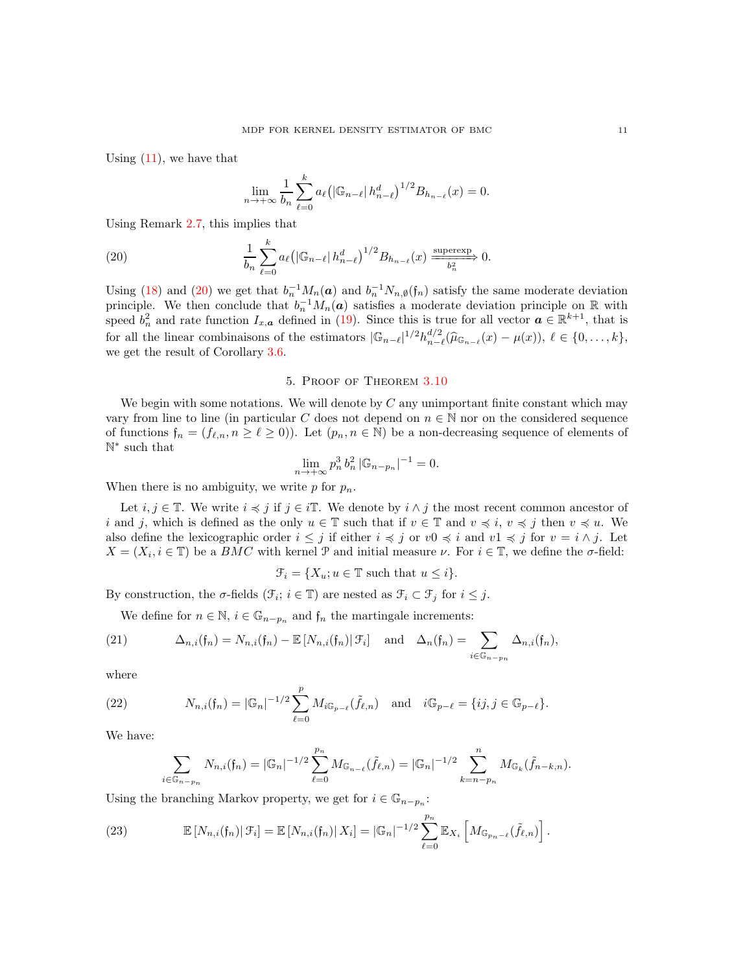Using  $(11)$ , we have that

<span id="page-10-1"></span>
$$
\lim_{n \to +\infty} \frac{1}{b_n} \sum_{\ell=0}^k a_\ell \left( \left| \mathbb{G}_{n-\ell} \right| h_{n-\ell}^d \right)^{1/2} B_{h_{n-\ell}}(x) = 0.
$$

Using Remark [2.7,](#page-3-2) this implies that

(20) 
$$
\frac{1}{b_n}\sum_{\ell=0}^k a_\ell \left( |\mathbb{G}_{n-\ell}| h_{n-\ell}^d \right)^{1/2} B_{h_{n-\ell}}(x) \xrightarrow{\text{supercxp}} 0.
$$

Using [\(18\)](#page-9-5) and [\(20\)](#page-10-1) we get that  $b_n^{-1}M_n(a)$  and  $b_n^{-1}N_{n,\emptyset}(f_n)$  satisfy the same moderate deviation principle. We then conclude that  $b_n^{-1}M_n(a)$  satisfies a moderate deviation principle on R with speed  $b_n^2$  and rate function  $I_{x,a}$  defined in [\(19\)](#page-9-6). Since this is true for all vector  $a \in \mathbb{R}^{k+1}$ , that is for all the linear combinaisons of the estimators  $|\mathbb{G}_{n-\ell}|^{1/2}h_{n-\ell}^{d/2}$  $\widehat{\mu}_{n-\ell}^{a/2}(\widehat{\mu}_{\mathbb{G}_{n-\ell}}(x)-\mu(x)),\ \ell\in\{0,\ldots,k\},\$ we get the result of Corollary [3.6.](#page-5-4)

#### 5. Proof of Theorem [3.10](#page-7-2)

<span id="page-10-0"></span>We begin with some notations. We will denote by  $C$  any unimportant finite constant which may vary from line to line (in particular C does not depend on  $n \in \mathbb{N}$  nor on the considered sequence of functions  $f_n = (f_{\ell,n}, n \geq \ell \geq 0)$ . Let  $(p_n, n \in \mathbb{N})$  be a non-decreasing sequence of elements of N ∗ such that

$$
\lim_{n \to +\infty} p_n^3 b_n^2 |\mathbb{G}_{n-p_n}|^{-1} = 0.
$$

When there is no ambiguity, we write  $p$  for  $p_n$ .

Let  $i, j \in \mathbb{T}$ . We write  $i \preccurlyeq j$  if  $j \in i\mathbb{T}$ . We denote by  $i \wedge j$  the most recent common ancestor of i and j, which is defined as the only  $u \in \mathbb{T}$  such that if  $v \in \mathbb{T}$  and  $v \preccurlyeq i$ ,  $v \preccurlyeq j$  then  $v \preccurlyeq u$ . We also define the lexicographic order  $i \leq j$  if either  $i \leq j$  or  $v0 \leq i$  and  $v1 \leq j$  for  $v = i \wedge j$ . Let  $X = (X_i, i \in \mathbb{T})$  be a  $BMC$  with kernel  $\mathcal P$  and initial measure  $\nu$ . For  $i \in \mathbb{T}$ , we define the  $\sigma$ -field:

$$
\mathcal{F}_i = \{X_u; u \in \mathbb{T} \text{ such that } u \leq i\}.
$$

By construction, the  $\sigma$ -fields  $(\mathcal{F}_i; i \in \mathbb{T})$  are nested as  $\mathcal{F}_i \subset \mathcal{F}_j$  for  $i \leq j$ .

<span id="page-10-2"></span>We define for  $n \in \mathbb{N}$ ,  $i \in \mathbb{G}_{n-p_n}$  and  $f_n$  the martingale increments:

(21) 
$$
\Delta_{n,i}(\mathfrak{f}_n) = N_{n,i}(\mathfrak{f}_n) - \mathbb{E}\left[N_{n,i}(\mathfrak{f}_n) | \mathcal{F}_i\right] \text{ and } \Delta_n(\mathfrak{f}_n) = \sum_{i \in \mathbb{G}_{n-p_n}} \Delta_{n,i}(\mathfrak{f}_n),
$$

where

(22) 
$$
N_{n,i}(\mathfrak{f}_n) = |\mathbb{G}_n|^{-1/2} \sum_{\ell=0}^p M_{i\mathbb{G}_{p-\ell}}(\tilde{f}_{\ell,n}) \text{ and } i\mathbb{G}_{p-\ell} = \{ij, j \in \mathbb{G}_{p-\ell}\}.
$$

We have:

<span id="page-10-4"></span>
$$
\sum_{i \in \mathbb{G}_{n-p_n}} N_{n,i}(f_n) = |\mathbb{G}_n|^{-1/2} \sum_{\ell=0}^{p_n} M_{\mathbb{G}_{n-\ell}}(\tilde{f}_{\ell,n}) = |\mathbb{G}_n|^{-1/2} \sum_{k=n-p_n}^n M_{\mathbb{G}_k}(\tilde{f}_{n-k,n}).
$$

Using the branching Markov property, we get for  $i\in \mathbb{G}_{n-p_n}$ :

<span id="page-10-3"></span>(23) 
$$
\mathbb{E}\left[N_{n,i}(\mathfrak{f}_n)\right|\mathcal{F}_i\right]=\mathbb{E}\left[N_{n,i}(\mathfrak{f}_n)\right|X_i\right]=|\mathbb{G}_n|^{-1/2}\sum_{\ell=0}^{p_n}\mathbb{E}_{X_i}\left[M_{\mathbb{G}_{p_n-\ell}}(\tilde{f}_{\ell,n})\right].
$$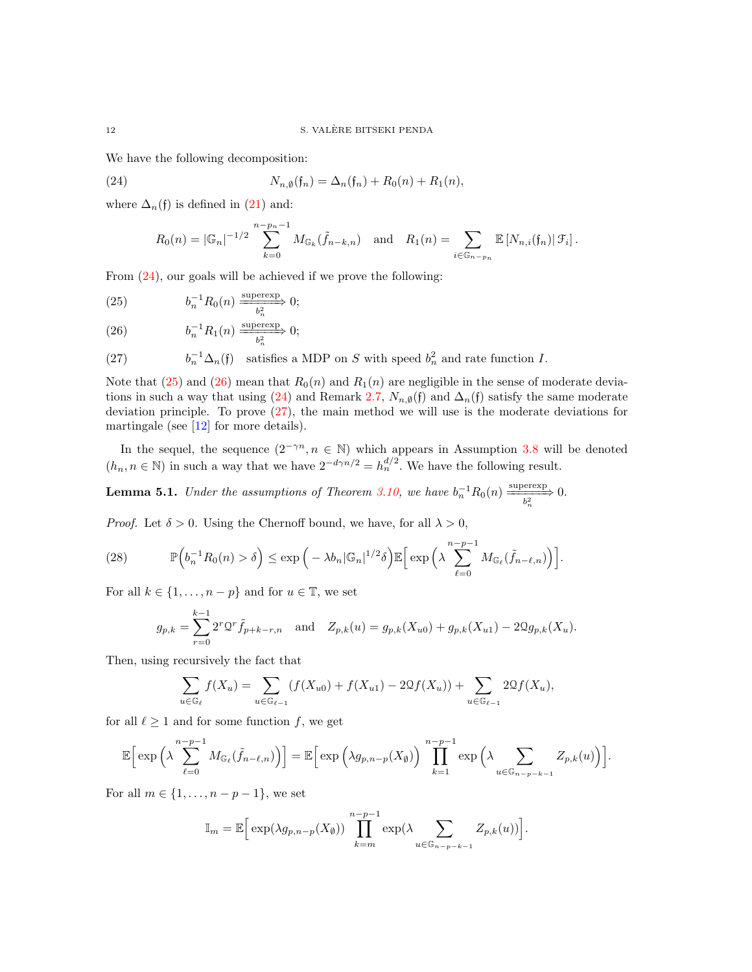We have the following decomposition:

(24) 
$$
N_{n,\emptyset}(\mathfrak{f}_n) = \Delta_n(\mathfrak{f}_n) + R_0(n) + R_1(n),
$$

where  $\Delta_n(f)$  is defined in [\(21\)](#page-10-2) and:

<span id="page-11-0"></span>
$$
R_0(n) = |\mathbb{G}_n|^{-1/2} \sum_{k=0}^{n-p_n-1} M_{\mathbb{G}_k}(\tilde{f}_{n-k,n}) \text{ and } R_1(n) = \sum_{i \in \mathbb{G}_{n-p_n}} \mathbb{E}[N_{n,i}(f_n) | \mathcal{F}_i].
$$

From [\(24\)](#page-11-0), our goals will be achieved if we prove the following:

<span id="page-11-1"></span>(25) 
$$
b_n^{-1} R_0(n) \xrightarrow[b_n^2]{} 0;
$$

<span id="page-11-2"></span>(26) 
$$
b_n^{-1} R_1(n) \xrightarrow{\text{supercxp}} 0;
$$

<span id="page-11-3"></span>(27) 
$$
b_n^{-1} \Delta_n(\mathfrak{f}) \quad \text{satisfies a MDP on } S \text{ with speed } b_n^2 \text{ and rate function } I.
$$

Note that [\(25\)](#page-11-1) and [\(26\)](#page-11-2) mean that  $R_0(n)$  and  $R_1(n)$  are negligible in the sense of moderate devia-tions in such a way that using [\(24\)](#page-11-0) and Remark [2.7,](#page-3-2)  $N_{n,\emptyset}(\mathfrak{f})$  and  $\Delta_n(\mathfrak{f})$  satisfy the same moderate deviation principle. To prove [\(27\)](#page-11-3), the main method we will use is the moderate deviations for martingale (see [\[12\]](#page-26-15) for more details).

In the sequel, the sequence  $(2^{-\gamma n}, n \in \mathbb{N})$  which appears in Assumption [3.8](#page-6-2) will be denoted  $(h_n, n \in \mathbb{N})$  in such a way that we have  $2^{-d} \gamma^{n/2} = h_n^{d/2}$ . We have the following result.

<span id="page-11-5"></span>**Lemma 5.1.** *Under the assumptions of Theorem [3.10,](#page-7-2)* we have  $b_n^{-1}R_0(n) \xrightarrow[b_n^2]{} 0.$ 

*Proof.* Let  $\delta > 0$ . Using the Chernoff bound, we have, for all  $\lambda > 0$ ,

(28) 
$$
\mathbb{P}\left(b_n^{-1}R_0(n) > \delta\right) \leq \exp\left(-\lambda b_n |\mathbb{G}_n|^{1/2} \delta\right) \mathbb{E}\left[\exp\left(\lambda \sum_{\ell=0}^{n-p-1} M_{\mathbb{G}_{\ell}}(\tilde{f}_{n-\ell,n})\right)\right].
$$

For all  $k \in \{1, \ldots, n-p\}$  and for  $u \in \mathbb{T}$ , we set

<span id="page-11-4"></span>
$$
g_{p,k} = \sum_{r=0}^{k-1} 2^r \mathfrak{O}^r \tilde{f}_{p+k-r,n} \quad \text{and} \quad Z_{p,k}(u) = g_{p,k}(X_{u0}) + g_{p,k}(X_{u1}) - 2\mathfrak{Q}g_{p,k}(X_u).
$$

Then, using recursively the fact that

$$
\sum_{u \in \mathbb{G}_{\ell}} f(X_u) = \sum_{u \in \mathbb{G}_{\ell-1}} (f(X_{u0}) + f(X_{u1}) - 2\mathfrak{Q}f(X_u)) + \sum_{u \in \mathbb{G}_{\ell-1}} 2\mathfrak{Q}f(X_u),
$$

for all  $\ell \geq 1$  and for some function f, we get

$$
\mathbb{E}\Big[\exp\Big(\lambda\sum_{\ell=0}^{n-p-1}M_{\mathbb{G}_{\ell}}(\tilde{f}_{n-\ell,n})\Big)\Big]=\mathbb{E}\Big[\exp\Big(\lambda g_{p,n-p}(X_{\emptyset})\Big)\prod_{k=1}^{n-p-1}\exp\Big(\lambda\sum_{u\in\mathbb{G}_{n-p-k-1}}Z_{p,k}(u)\Big)\Big].
$$

For all  $m \in \{1, \ldots, n-p-1\}$ , we set

$$
\mathbb{I}_{m} = \mathbb{E}\Big[\exp(\lambda g_{p,n-p}(X_{\emptyset}))\prod_{k=m}^{n-p-1}\exp(\lambda \sum_{u\in\mathbb{G}_{n-p-k-1}}Z_{p,k}(u))\Big].
$$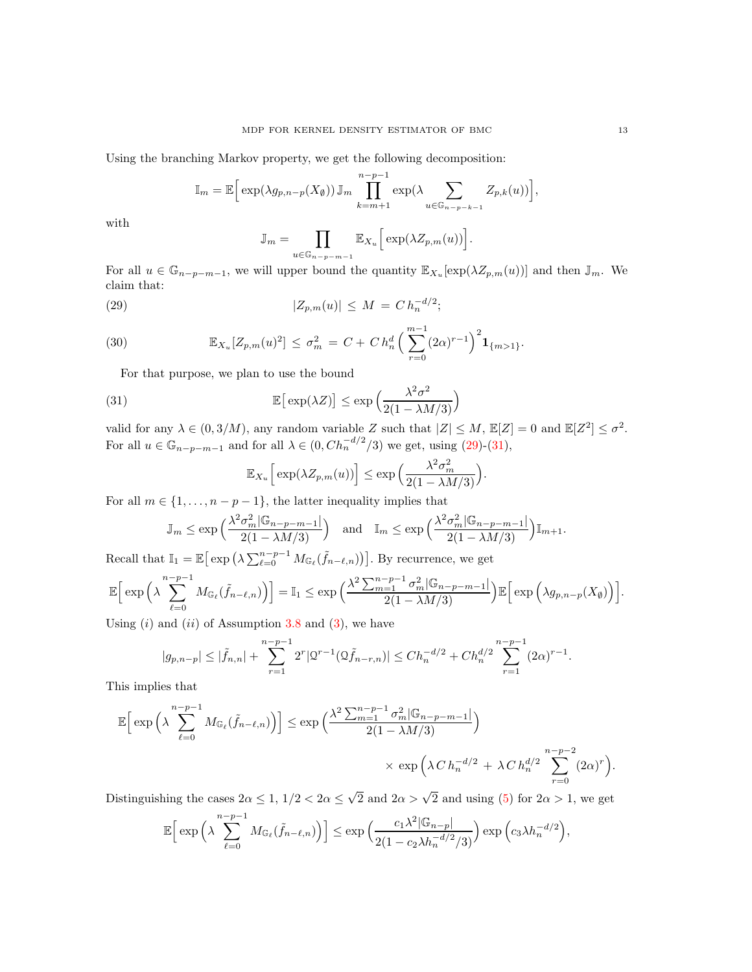Using the branching Markov property, we get the following decomposition:

$$
\mathbb{I}_m = \mathbb{E}\Big[\exp(\lambda g_{p,n-p}(X_{\emptyset}))\mathbb{J}_m \prod_{k=m+1}^{n-p-1} \exp(\lambda \sum_{u \in \mathbb{G}_{n-p-k-1}} Z_{p,k}(u))\Big],
$$

with

<span id="page-12-0"></span>
$$
\mathbb{J}_m = \prod_{u \in \mathbb{G}_{n-p-m-1}} \mathbb{E}_{X_u} \Big[ \exp(\lambda Z_{p,m}(u)) \Big].
$$

For all  $u \in \mathbb{G}_{n-p-m-1}$ , we will upper bound the quantity  $\mathbb{E}_{X_u}[\exp(\lambda Z_{p,m}(u))]$  and then  $\mathbb{J}_m$ . We claim that:

(29) 
$$
|Z_{p,m}(u)| \leq M = C h_n^{-d/2};
$$

(30) 
$$
\mathbb{E}_{X_u}[Z_{p,m}(u)^2] \leq \sigma_m^2 = C + C h_n^d \left( \sum_{r=0}^{m-1} (2\alpha)^{r-1} \right)^2 \mathbf{1}_{\{m>1\}}.
$$

<span id="page-12-2"></span>For that purpose, we plan to use the bound

(31) 
$$
\mathbb{E}\left[\exp(\lambda Z)\right] \leq \exp\left(\frac{\lambda^2 \sigma^2}{2(1 - \lambda M/3)}\right)
$$

valid for any  $\lambda \in (0, 3/M)$ , any random variable Z such that  $|Z| \le M$ ,  $\mathbb{E}[Z] = 0$  and  $\mathbb{E}[Z^2] \le \sigma^2$ . For all  $u \in \mathbb{G}_{n-p-m-1}$  and for all  $\lambda \in (0, Ch_n^{-d/2}/3)$  we get, using  $(29)-(31)$  $(29)-(31)$ ,

<span id="page-12-1"></span>
$$
\mathbb{E}_{X_u}\Big[\exp(\lambda Z_{p,m}(u))\Big] \leq \exp\Big(\frac{\lambda^2 \sigma_m^2}{2(1-\lambda M/3)}\Big).
$$

For all  $m \in \{1, \ldots, n-p-1\}$ , the latter inequality implies that

$$
\mathbb{J}_m \le \exp\left(\frac{\lambda^2 \sigma_m^2 |\mathbb{G}_{n-p-m-1}|}{2(1 - \lambda M/3)}\right) \quad \text{and} \quad \mathbb{I}_m \le \exp\left(\frac{\lambda^2 \sigma_m^2 |\mathbb{G}_{n-p-m-1}|}{2(1 - \lambda M/3)}\right) \mathbb{I}_{m+1}.
$$

Recall that  $\mathbb{I}_1 = \mathbb{E}\big[\exp\big(\lambda \sum_{\ell=0}^{n-p-1} M_{\mathbb{G}_{\ell}}(\tilde{f}_{n-\ell,n})\big)\big]$ . By recurrence, we get

$$
\mathbb{E}\Big[\exp\Big(\lambda\sum_{\ell=0}^{n-p-1}M_{\mathbb{G}_{\ell}}(\tilde{f}_{n-\ell,n})\Big)\Big]=\mathbb{I}_{1}\leq \exp\Big(\frac{\lambda^{2}\sum_{m=1}^{n-p-1}\sigma_{m}^{2}|\mathbb{G}_{n-p-m-1}|}{2(1-\lambda M/3)}\Big)\mathbb{E}\Big[\exp\Big(\lambda g_{p,n-p}(X_{\emptyset})\Big)\Big].
$$

Using  $(i)$  and  $(ii)$  of Assumption [3.8](#page-6-2) and  $(3)$ , we have

$$
|g_{p,n-p}| \leq |\tilde{f}_{n,n}| + \sum_{r=1}^{n-p-1} 2^r |\mathcal{Q}^{r-1}(\mathcal{Q}\tilde{f}_{n-r,n})| \leq Ch_n^{-d/2} + Ch_n^{d/2} \sum_{r=1}^{n-p-1} (2\alpha)^{r-1}.
$$

This implies that

$$
\mathbb{E}\Big[\exp\Big(\lambda\sum_{\ell=0}^{n-p-1}M_{\mathbb{G}_{\ell}}(\tilde{f}_{n-\ell,n})\Big)\Big]\leq \exp\Big(\frac{\lambda^{2}\sum_{m=1}^{n-p-1}\sigma_{m}^{2}|\mathbb{G}_{n-p-m-1}|}{2(1-\lambda M/3)}\Big)\times \exp\Big(\lambda\,C\,h_{n}^{-d/2}+\lambda\,C\,h_{n}^{d/2}\sum_{r=0}^{n-p-2}(2\alpha)^{r}\Big).
$$

Distinguishing the cases  $2\alpha \leq 1$ ,  $1/2 < 2\alpha \leq \sqrt{2}$  and  $2\alpha > \sqrt{2}$  and using [\(5\)](#page-4-6) for  $2\alpha > 1$ , we get

$$
\mathbb{E}\Big[\exp\Big(\lambda\sum_{\ell=0}^{n-p-1}M_{\mathbb{G}_{\ell}}(\tilde{f}_{n-\ell,n})\Big)\Big]\leq \exp\Big(\frac{c_1\lambda^2|\mathbb{G}_{n-p}|}{2(1-c_2\lambda h_n^{-d/2}/3)}\Big)\exp\Big(c_3\lambda h_n^{-d/2}\Big),\,
$$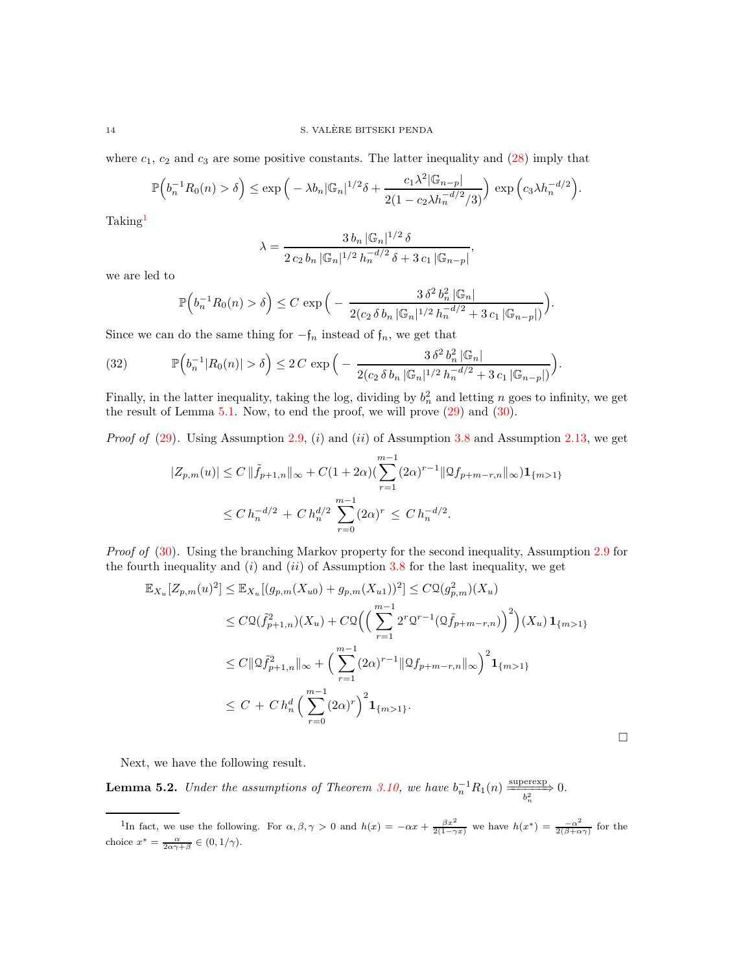where  $c_1$ ,  $c_2$  and  $c_3$  are some positive constants. The latter inequality and  $(28)$  imply that

$$
\mathbb{P}\Big(b_n^{-1}R_0(n) > \delta\Big) \le \exp\Big(-\lambda b_n |\mathbb{G}_n|^{1/2} \delta + \frac{c_1 \lambda^2 |\mathbb{G}_{n-p}|}{2(1 - c_2 \lambda h_n^{-d/2}/3)}\Big) \exp\Big(c_3 \lambda h_n^{-d/2}\Big).
$$

Taking[1](#page-13-1)

$$
\lambda = \frac{3 \, b_n \, |\mathbb{G}_n|^{1/2} \, \delta}{2 \, c_2 \, b_n \, |\mathbb{G}_n|^{1/2} \, h_n^{-d/2} \, \delta + 3 \, c_1 \, |\mathbb{G}_{n-p}|},
$$

we are led to

$$
\mathbb{P}\Big(b_n^{-1}R_0(n) > \delta\Big) \leq C \exp\Big(-\frac{3\,\delta^2\,b_n^2\,|\mathbb{G}_n|}{2(c_2\,\delta\,b_n\,|\mathbb{G}_n|^{1/2}\,h_n^{-d/2} + 3\,c_1\,|\mathbb{G}_{n-p}|)}\Big).
$$

Since we can do the same thing for  $-f_n$  instead of  $f_n$ , we get that

<span id="page-13-0"></span>(32) 
$$
\mathbb{P}\Big(b_n^{-1}|R_0(n)| > \delta\Big) \le 2C \exp\Big(-\frac{3\,\delta^2\,b_n^2\,|\mathbb{G}_n|}{2(c_2\,\delta\,b_n\,|\mathbb{G}_n|^{1/2}\,h_n^{-d/2} + 3\,c_1\,|\mathbb{G}_{n-p}|)}\Big).
$$

Finally, in the latter inequality, taking the log, dividing by  $b_n^2$  and letting n goes to infinity, we get the result of Lemma  $5.1$ . Now, to end the proof, we will prove  $(29)$  and  $(30)$ .

*Proof of* [\(29\)](#page-12-0). Using Assumption [2.9,](#page-3-0) (i) and (ii) of Assumption [3.8](#page-6-2) and Assumption [2.13,](#page-4-2) we get

$$
|Z_{p,m}(u)| \le C \|\tilde{f}_{p+1,n}\|_{\infty} + C(1+2\alpha) \left(\sum_{r=1}^{m-1} (2\alpha)^{r-1} \|\mathcal{Q}f_{p+m-r,n}\|_{\infty}\right) \mathbf{1}_{\{m>1\}}
$$
  

$$
\le C \, h_n^{-d/2} + C \, h_n^{d/2} \sum_{r=0}^{m-1} (2\alpha)^r \le C \, h_n^{-d/2}.
$$

*Proof of* [\(30\)](#page-12-2). Using the branching Markov property for the second inequality, Assumption [2.9](#page-3-0) for the fourth inequality and  $(i)$  and  $(ii)$  of Assumption [3.8](#page-6-2) for the last inequality, we get

$$
\mathbb{E}_{X_u}[Z_{p,m}(u)^2] \leq \mathbb{E}_{X_u}[(g_{p,m}(X_{u0}) + g_{p,m}(X_{u1}))^2] \leq C\mathfrak{Q}(g_{p,m}^2)(X_u)
$$
\n
$$
\leq C\mathfrak{Q}(\tilde{f}_{p+1,n}^2)(X_u) + C\mathfrak{Q}\Big(\Big(\sum_{r=1}^{m-1} 2^r \mathfrak{Q}^{r-1}(\mathfrak{Q}\tilde{f}_{p+m-r,n})\Big)^2\Big)(X_u) \mathbf{1}_{\{m>1\}}
$$
\n
$$
\leq C\|\mathfrak{Q}\tilde{f}_{p+1,n}^2\|_{\infty} + \Big(\sum_{r=1}^{m-1} (2\alpha)^{r-1} \|\mathfrak{Q}f_{p+m-r,n}\|_{\infty}\Big)^2 \mathbf{1}_{\{m>1\}}
$$
\n
$$
\leq C + C h_n^d \Big(\sum_{r=0}^{m-1} (2\alpha)^r\Big)^2 \mathbf{1}_{\{m>1\}}.
$$

 $\Box$ 

Next, we have the following result.

<span id="page-13-2"></span>**Lemma 5.2.** *Under the assumptions of Theorem [3.10,](#page-7-2)* we have  $b_n^{-1}R_1(n) \xrightarrow[b_n^2]{} 0.$ 

<span id="page-13-1"></span><sup>&</sup>lt;sup>1</sup>In fact, we use the following. For  $\alpha, \beta, \gamma > 0$  and  $h(x) = -\alpha x + \frac{\beta x^2}{2(1-\gamma x)}$  we have  $h(x^*) = \frac{-\alpha^2}{2(\beta+\alpha)}$  $\frac{-\alpha^{-}}{2(\beta+\alpha\gamma)}$  for the choice  $x^* = \frac{\alpha}{2\alpha\gamma+\beta} \in (0, 1/\gamma)$ .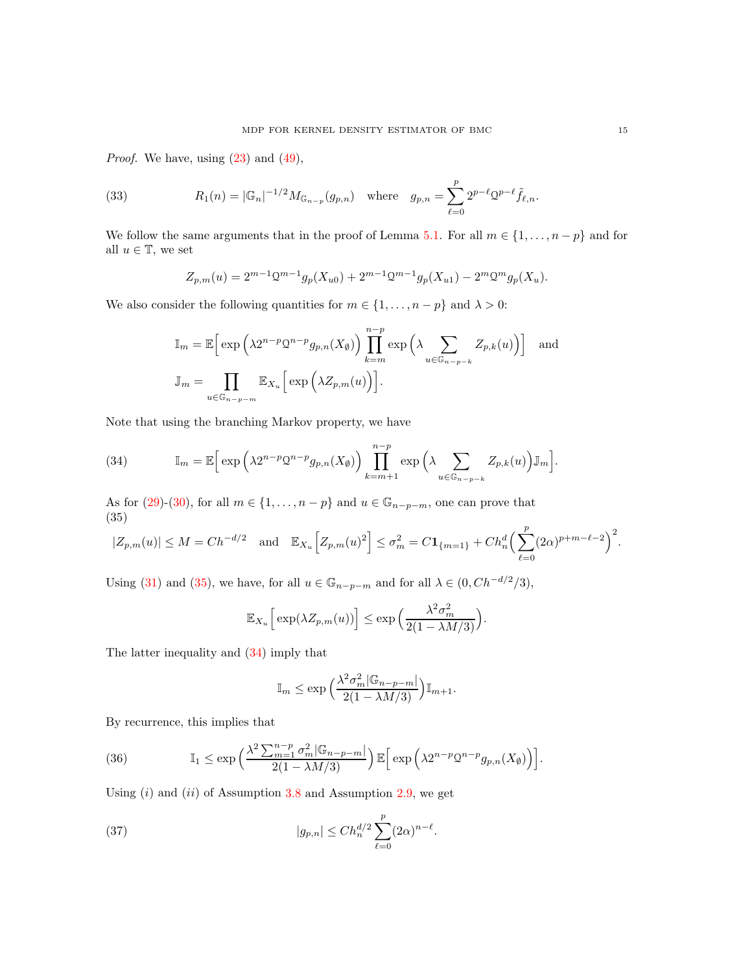*Proof.* We have, using  $(23)$  and  $(49)$ ,

(33) 
$$
R_1(n) = |\mathbb{G}_n|^{-1/2} M_{\mathbb{G}_{n-p}}(g_{p,n}) \text{ where } g_{p,n} = \sum_{\ell=0}^p 2^{p-\ell} 2^{p-\ell} \tilde{f}_{\ell,n}.
$$

We follow the same arguments that in the proof of Lemma [5.1.](#page-11-5) For all  $m \in \{1, \ldots, n-p\}$  and for all  $u \in \mathbb{T}$ , we set

<span id="page-14-4"></span>
$$
Z_{p,m}(u) = 2^{m-1} \mathcal{Q}^{m-1} g_p(X_{u0}) + 2^{m-1} \mathcal{Q}^{m-1} g_p(X_{u1}) - 2^m \mathcal{Q}^m g_p(X_u).
$$

We also consider the following quantities for  $m \in \{1, ..., n - p\}$  and  $\lambda > 0$ :

$$
\mathbb{I}_m = \mathbb{E}\Big[\exp\Big(\lambda 2^{n-p} \mathcal{Q}^{n-p} g_{p,n}(X_{\emptyset})\Big) \prod_{k=m}^{n-p} \exp\Big(\lambda \sum_{u \in \mathbb{G}_{n-p-k}} Z_{p,k}(u)\Big)\Big] \text{ and}
$$
  

$$
\mathbb{J}_m = \prod_{u \in \mathbb{G}_{n-p-m}} \mathbb{E}_{X_u}\Big[\exp\Big(\lambda Z_{p,m}(u)\Big)\Big].
$$

Note that using the branching Markov property, we have

<span id="page-14-1"></span>(34) 
$$
\mathbb{I}_m = \mathbb{E}\Big[\exp\Big(\lambda 2^{n-p} \mathcal{Q}^{n-p} g_{p,n}(X_{\emptyset})\Big) \prod_{k=m+1}^{n-p} \exp\Big(\lambda \sum_{u \in \mathbb{G}_{n-p-k}} Z_{p,k}(u)\Big) \mathbb{J}_m\Big].
$$

As for [\(29\)](#page-12-0)-[\(30\)](#page-12-2), for all  $m \in \{1, \ldots, n-p\}$  and  $u \in \mathbb{G}_{n-p-m}$ , one can prove that (35)

<span id="page-14-0"></span>
$$
|Z_{p,m}(u)| \le M = Ch^{-d/2} \quad \text{and} \quad \mathbb{E}_{X_u} \Big[ Z_{p,m}(u)^2 \Big] \le \sigma_m^2 = C \mathbf{1}_{\{m=1\}} + Ch_n^d \Big( \sum_{\ell=0}^p (2\alpha)^{p+m-\ell-2} \Big)^2.
$$

Using [\(31\)](#page-12-1) and [\(35\)](#page-14-0), we have, for all  $u \in \mathbb{G}_{n-p-m}$  and for all  $\lambda \in (0, Ch^{-d/2}/3)$ ,

$$
\mathbb{E}_{X_u}\Big[\exp(\lambda Z_{p,m}(u))\Big] \leq \exp\Big(\frac{\lambda^2\sigma_m^2}{2(1-\lambda M/3)}\Big).
$$

The latter inequality and [\(34\)](#page-14-1) imply that

<span id="page-14-3"></span>
$$
\mathbb{I}_m \le \exp\left(\frac{\lambda^2 \sigma_m^2 |\mathbb{G}_{n-p-m}|}{2(1-\lambda M/3)}\right) \mathbb{I}_{m+1}.
$$

By recurrence, this implies that

<span id="page-14-2"></span>(36) 
$$
\mathbb{I}_1 \le \exp\left(\frac{\lambda^2 \sum_{m=1}^{n-p} \sigma_m^2 |\mathbb{G}_{n-p-m}|}{2(1-\lambda M/3)}\right) \mathbb{E}\Big[\exp\Big(\lambda 2^{n-p} Q^{n-p} g_{p,n}(X_\emptyset)\Big)\Big].
$$

Using  $(i)$  and  $(ii)$  of Assumption [3.8](#page-6-2) and Assumption [2.9,](#page-3-0) we get

(37) 
$$
|g_{p,n}| \leq Ch_n^{d/2} \sum_{\ell=0}^p (2\alpha)^{n-\ell}.
$$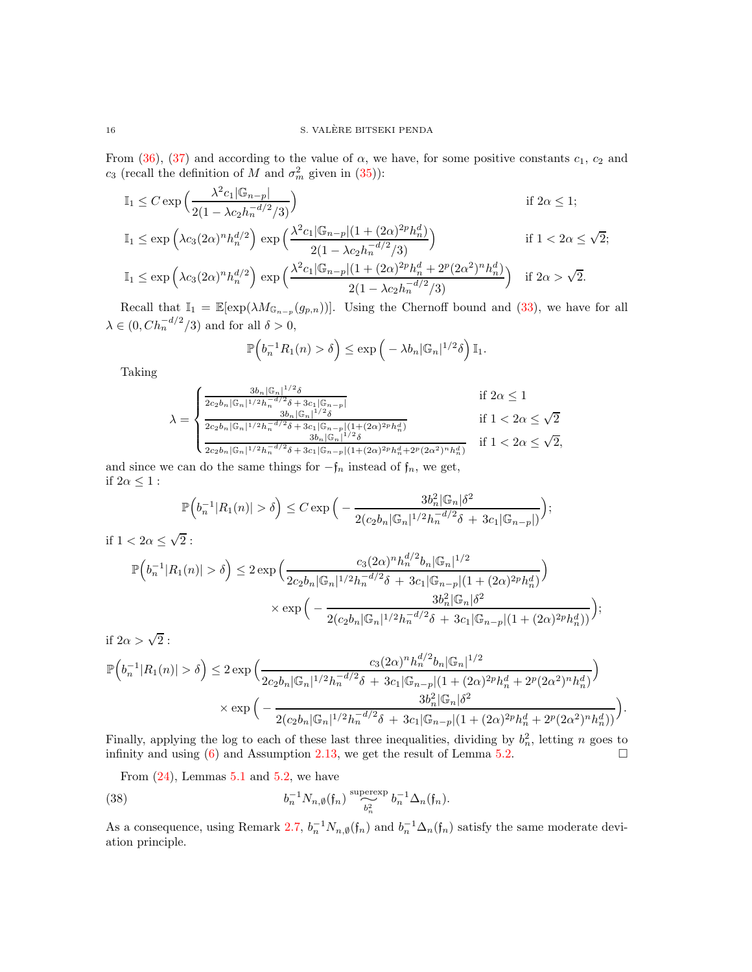From [\(36\)](#page-14-2), [\(37\)](#page-14-3) and according to the value of  $\alpha$ , we have, for some positive constants  $c_1$ ,  $c_2$  and  $c_3$  (recall the definition of M and  $\sigma_m^2$  given in [\(35\)](#page-14-0)):

$$
\mathbb{I}_{1} \leq C \exp \left( \frac{\lambda^{2} c_{1} |\mathbb{G}_{n-p}|}{2(1 - \lambda c_{2} h_{n}^{-d/2}/3)} \right) \qquad \text{if } 2\alpha \leq 1;
$$
\n
$$
\mathbb{I}_{1} \leq \exp \left( \lambda c_{3} (2\alpha)^{n} h_{n}^{d/2} \right) \exp \left( \frac{\lambda^{2} c_{1} |\mathbb{G}_{n-p}| (1 + (2\alpha)^{2p} h_{n}^{d})}{2(1 - \lambda c_{2} h_{n}^{-d/2}/3)} \right) \qquad \text{if } 1 < 2\alpha \leq \sqrt{2};
$$
\n
$$
\mathbb{I}_{1} \leq \exp \left( \lambda c_{3} (2\alpha)^{n} h_{n}^{d/2} \right) \exp \left( \frac{\lambda^{2} c_{1} |\mathbb{G}_{n-p}| (1 + (2\alpha)^{2p} h_{n}^{d} + 2^{p} (2\alpha^{2})^{n} h_{n}^{d})}{2(1 - \lambda c_{2} h_{n}^{-d/2}/3)} \right) \qquad \text{if } 2\alpha > \sqrt{2}.
$$

Recall that  $\mathbb{I}_1 = \mathbb{E}[\exp(\lambda M_{\mathbb{G}_{n-p}}(g_{p,n}))]$ . Using the Chernoff bound and [\(33\)](#page-14-4), we have for all  $\lambda \in (0, Ch_n^{-d/2}/3)$  and for all  $\delta > 0$ ,

$$
\mathbb{P}\Big(b_n^{-1}R_1(n) > \delta\Big) \le \exp\Big(-\lambda b_n |\mathbb{G}_n|^{1/2}\delta\Big) \mathbb{I}_1.
$$

Taking

$$
\lambda = \begin{cases}\n\frac{3b_n |\mathbb{G}_n|^{1/2} \delta}{2c_2 b_n |\mathbb{G}_n|^{1/2} h_n^{-d/2} \delta + 3c_1 |\mathbb{G}_{n-p}|} & \text{if } 2\alpha \le 1 \\
\frac{3b_n |\mathbb{G}_n|^{1/2} \delta}{2c_2 b_n |\mathbb{G}_n|^{1/2} h_n^{-d/2} \delta + 3c_1 |\mathbb{G}_{n-p}| (1+(2\alpha)^{2p} h_n^d)} & \text{if } 1 < 2\alpha \le \sqrt{2} \\
\frac{3b_n |\mathbb{G}_n|^{1/2} \delta}{2c_2 b_n |\mathbb{G}_n|^{1/2} h_n^{-d/2} \delta + 3c_1 |\mathbb{G}_{n-p}| (1+(2\alpha)^{2p} h_n^d + 2^p (2\alpha^2)^n h_n^d)} & \text{if } 1 < 2\alpha \le \sqrt{2},\n\end{cases}
$$

and since we can do the same things for  $-f_n$  instead of  $f_n$ , we get, if  $2\alpha \leq 1$ :

$$
\mathbb{P}\Big(b_n^{-1}|R_1(n)| > \delta\Big) \leq C \exp\Big(-\frac{3b_n^2|\mathbb{G}_n|\delta^2}{2(c_2b_n|\mathbb{G}_n|^{1/2}h_n^{-d/2}\delta + 3c_1|\mathbb{G}_{n-p}|)}\Big);
$$

if  $1 < 2\alpha \leq \sqrt{2}$ :

$$
\mathbb{P}\Big(b_n^{-1}|R_1(n)| > \delta\Big) \le 2 \exp\Big(\frac{c_3(2\alpha)^n h_n^{d/2} b_n |\mathbb{G}_n|^{1/2}}{2c_2 b_n |\mathbb{G}_n|^{1/2} h_n^{-d/2} \delta + 3c_1 |\mathbb{G}_{n-p}| (1 + (2\alpha)^{2p} h_n^d)}\Big) \times \exp\Big(-\frac{3b_n^2 |\mathbb{G}_n| \delta^2}{2(c_2 b_n |\mathbb{G}_n|^{1/2} h_n^{-d/2} \delta + 3c_1 |\mathbb{G}_{n-p}| (1 + (2\alpha)^{2p} h_n^d))}\Big);
$$
if  $2\alpha > \sqrt{2}$ :

$$
\mathbb{P}\Big(b_n^{-1}|R_1(n)| > \delta\Big) \leq 2\exp\Big(\frac{c_3(2\alpha)^n h_n^{d/2} b_n |\mathbb{G}_n|^{1/2}}{2c_2 b_n |\mathbb{G}_n|^{1/2} h_n^{-d/2} \delta + 3c_1 |\mathbb{G}_{n-p}| (1 + (2\alpha)^{2p} h_n^d + 2^p (2\alpha^2)^n h_n^d)}\Big)\times \exp\Big(-\frac{3b_n^2 |\mathbb{G}_n| \delta^2}{2(c_2 b_n |\mathbb{G}_n|^{1/2} h_n^{-d/2} \delta + 3c_1 |\mathbb{G}_{n-p}| (1 + (2\alpha)^{2p} h_n^d + 2^p (2\alpha^2)^n h_n^d))}\Big)
$$

.

Finally, applying the log to each of these last three inequalities, dividing by  $b_n^2$ , letting n goes to infinity and using [\(6\)](#page-4-5) and Assumption [2.13,](#page-4-2) we get the result of Lemma [5.2.](#page-13-2)  $\Box$ 

<span id="page-15-0"></span>From  $(24)$ , Lemmas [5.1](#page-11-5) and [5.2,](#page-13-2) we have

(38) 
$$
b_n^{-1} N_{n,\emptyset}(\mathfrak{f}_n) \stackrel{\text{supersy}}{\underset{b_n^2}{\sim}} b_n^{-1} \Delta_n(\mathfrak{f}_n).
$$

As a consequence, using Remark [2.7,](#page-3-2)  $b_n^{-1}N_{n,\emptyset}(\mathfrak{f}_n)$  and  $b_n^{-1}\Delta_n(\mathfrak{f}_n)$  satisfy the same moderate deviation principle.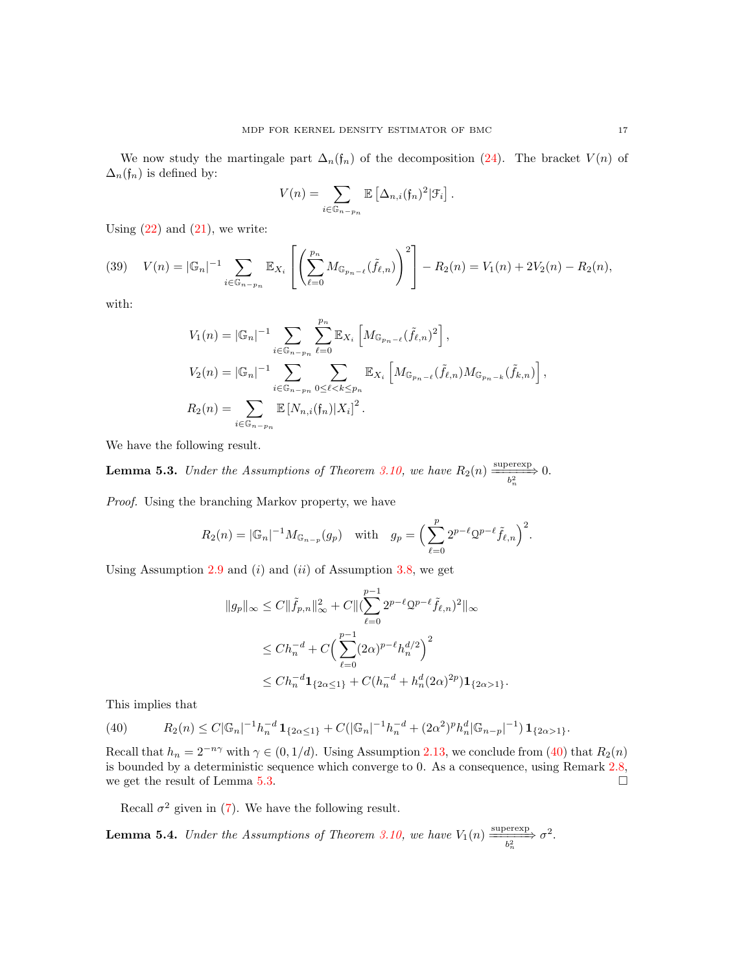We now study the martingale part  $\Delta_n(f_n)$  of the decomposition [\(24\)](#page-11-0). The bracket  $V(n)$  of  $\Delta_n(f_n)$  is defined by:

$$
V(n) = \sum_{i \in \mathbb{G}_{n-p_n}} \mathbb{E} \left[ \Delta_{n,i} (\mathfrak{f}_n)^2 | \mathcal{F}_i \right].
$$

Using  $(22)$  and  $(21)$ , we write:

<span id="page-16-3"></span>(39) 
$$
V(n) = |\mathbb{G}_n|^{-1} \sum_{i \in \mathbb{G}_{n-p_n}} \mathbb{E}_{X_i} \left[ \left( \sum_{\ell=0}^{p_n} M_{\mathbb{G}_{p_n-\ell}}(\tilde{f}_{\ell,n}) \right)^2 \right] - R_2(n) = V_1(n) + 2V_2(n) - R_2(n),
$$

with:

$$
V_1(n) = |\mathbb{G}_n|^{-1} \sum_{i \in \mathbb{G}_{n-p_n}} \sum_{\ell=0}^{p_n} \mathbb{E}_{X_i} \left[ M_{\mathbb{G}_{p_n-\ell}}(\tilde{f}_{\ell,n})^2 \right],
$$
  
\n
$$
V_2(n) = |\mathbb{G}_n|^{-1} \sum_{i \in \mathbb{G}_{n-p_n}} \sum_{0 \le \ell < k \le p_n} \mathbb{E}_{X_i} \left[ M_{\mathbb{G}_{p_n-\ell}}(\tilde{f}_{\ell,n}) M_{\mathbb{G}_{p_n-k}}(\tilde{f}_{k,n}) \right],
$$
  
\n
$$
R_2(n) = \sum_{i \in \mathbb{G}_{n-p_n}} \mathbb{E} \left[ N_{n,i}(f_n) | X_i \right]^2.
$$

We have the following result.

<span id="page-16-1"></span>**Lemma 5.3.** *Under the Assumptions of Theorem [3.10,](#page-7-2)* we have  $R_2(n) \xrightarrow[\frac{b_n^2}{n}]{} 0.$ 

*Proof.* Using the branching Markov property, we have

$$
R_2(n) = |\mathbb{G}_n|^{-1} M_{\mathbb{G}_{n-p}}(g_p) \quad \text{with} \quad g_p = \left(\sum_{\ell=0}^p 2^{p-\ell} 2^{p-\ell} \tilde{f}_{\ell,n}\right)^2.
$$

Using Assumption [2.9](#page-3-0) and  $(i)$  and  $(ii)$  of Assumption [3.8,](#page-6-2) we get

$$
||g_p||_{\infty} \leq C ||\tilde{f}_{p,n}||_{\infty}^2 + C ||(\sum_{\ell=0}^{p-1} 2^{p-\ell} 2^{p-\ell} \tilde{f}_{\ell,n})^2||_{\infty}
$$
  

$$
\leq Ch_n^{-d} + C \Big( \sum_{\ell=0}^{p-1} (2\alpha)^{p-\ell} h_n^{d/2} \Big)^2
$$
  

$$
\leq Ch_n^{-d} \mathbf{1}_{\{2\alpha \leq 1\}} + C(h_n^{-d} + h_n^d (2\alpha)^{2p}) \mathbf{1}_{\{2\alpha > 1\}}.
$$

This implies that

<span id="page-16-0"></span>(40) 
$$
R_2(n) \leq C |\mathbb{G}_n|^{-1} h_n^{-d} \mathbf{1}_{\{2\alpha \leq 1\}} + C(|\mathbb{G}_n|^{-1} h_n^{-d} + (2\alpha^2)^p h_n^d |\mathbb{G}_{n-p}|^{-1}) \mathbf{1}_{\{2\alpha > 1\}}.
$$

Recall that  $h_n = 2^{-n\gamma}$  with  $\gamma \in (0, 1/d)$ . Using Assumption [2.13,](#page-4-2) we conclude from [\(40\)](#page-16-0) that  $R_2(n)$ is bounded by a deterministic sequence which converge to 0. As a consequence, using Remark [2.8,](#page-3-4) we get the result of Lemma [5.3.](#page-16-1)  $\Box$ 

Recall  $\sigma^2$  given in [\(7\)](#page-6-1). We have the following result.

<span id="page-16-2"></span>**Lemma 5.4.** *Under the Assumptions of Theorem [3.10,](#page-7-2)* we have  $V_1(n) \xrightarrow[k_n^2]{} \sigma^2$ .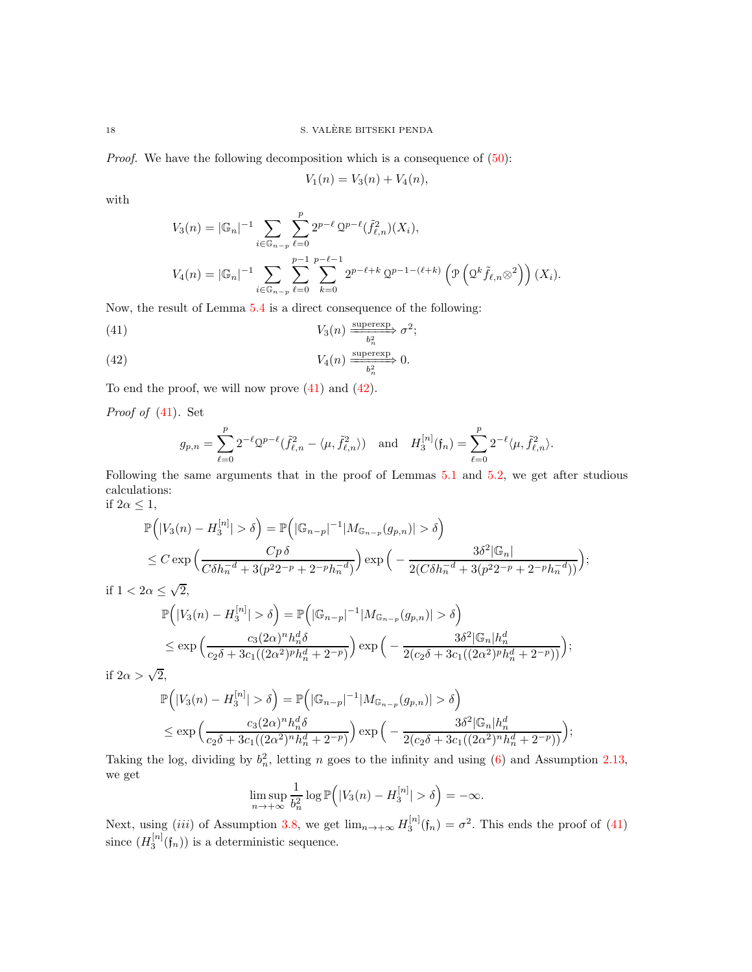*Proof.* We have the following decomposition which is a consequence of  $(50)$ :

 $V_1(n) = V_3(n) + V_4(n),$ 

with

$$
V_3(n) = |\mathbb{G}_n|^{-1} \sum_{i \in \mathbb{G}_{n-p}} \sum_{\ell=0}^p 2^{p-\ell} 2^{p-\ell} (\tilde{f}_{\ell,n}^2)(X_i),
$$
  

$$
V_4(n) = |\mathbb{G}_n|^{-1} \sum_{i \in \mathbb{G}_{n-p}} \sum_{\ell=0}^{p-1} \sum_{k=0}^{p-\ell-1} 2^{p-\ell+k} 2^{p-1-(\ell+k)} \left( \mathcal{P} \left( 2^k \tilde{f}_{\ell,n} \otimes^2 \right) \right) (X_i).
$$

Now, the result of Lemma [5.4](#page-16-2) is a direct consequence of the following:

<span id="page-17-0"></span>(41) 
$$
V_3(n) \xrightarrow[b_n^2]{} \sigma^2;
$$

<span id="page-17-1"></span>(42) 
$$
V_4(n) \xrightarrow{\text{superexp}} 0.
$$

To end the proof, we will now prove [\(41\)](#page-17-0) and [\(42\)](#page-17-1).

*Proof of* [\(41\)](#page-17-0)*.* Set

$$
g_{p,n} = \sum_{\ell=0}^p 2^{-\ell} \mathcal{Q}^{p-\ell}(\tilde{f}_{\ell,n}^2 - \langle \mu, \tilde{f}_{\ell,n}^2 \rangle) \text{ and } H_3^{[n]}(\mathfrak{f}_n) = \sum_{\ell=0}^p 2^{-\ell} \langle \mu, \tilde{f}_{\ell,n}^2 \rangle.
$$

Following the same arguments that in the proof of Lemmas [5.1](#page-11-5) and [5.2,](#page-13-2) we get after studious calculations: if  $2\alpha \leq 1$ ,

;

$$
\mathbb{P}\Big(|V_3(n) - H_3^{[n]}| > \delta\Big) = \mathbb{P}\Big(|\mathbb{G}_{n-p}|^{-1}|M_{\mathbb{G}_{n-p}}(g_{p,n})| > \delta\Big)
$$
  

$$
\leq C \exp\Big(\frac{Cp\,\delta}{C\delta h_n^{-d} + 3(p^2 2^{-p} + 2^{-p} h_n^{-d})}\Big) \exp\Big(-\frac{3\delta^2|\mathbb{G}_n|}{2(C\delta h_n^{-d} + 3(p^2 2^{-p} + 2^{-p} h_n^{-d}))}
$$

if  $1 < 2\alpha \leq \sqrt{2}$ ,

$$
\mathbb{P}\Big(|V_3(n) - H_3^{[n]}| > \delta\Big) = \mathbb{P}\Big(|\mathbb{G}_{n-p}|^{-1}|M_{\mathbb{G}_{n-p}}(g_{p,n})| > \delta\Big)
$$
  

$$
\leq \exp\Big(\frac{c_3(2\alpha)^n h_n^d \delta}{c_2 \delta + 3c_1((2\alpha^2)^p h_n^d + 2^{-p})}\Big) \exp\Big(-\frac{3\delta^2 |\mathbb{G}_n| h_n^d}{2(c_2 \delta + 3c_1((2\alpha^2)^p h_n^d + 2^{-p}))}\Big);
$$

if  $2\alpha > \sqrt{2}$ ,

$$
\mathbb{P}\Big(|V_3(n) - H_3^{[n]}| > \delta\Big) = \mathbb{P}\Big(|\mathbb{G}_{n-p}|^{-1}|M_{\mathbb{G}_{n-p}}(g_{p,n})| > \delta\Big)
$$
  

$$
\leq \exp\Big(\frac{c_3(2\alpha)^n h_n^d \delta}{c_2 \delta + 3c_1((2\alpha^2)^n h_n^d + 2^{-p})}\Big) \exp\Big(-\frac{3\delta^2 |\mathbb{G}_n| h_n^d}{2(c_2 \delta + 3c_1((2\alpha^2)^n h_n^d + 2^{-p}))}\Big);
$$

Taking the log, dividing by  $b_n^2$ , letting n goes to the infinity and using [\(6\)](#page-4-5) and Assumption [2.13,](#page-4-2) we get

$$
\limsup_{n \to +\infty} \frac{1}{b_n^2} \log \mathbb{P}\Big(|V_3(n) - H_3^{[n]}| > \delta\Big) = -\infty.
$$

Next, using (iii) of Assumption [3.8,](#page-6-2) we get  $\lim_{n\to+\infty} H_3^{[n]}(\mathfrak{f}_n) = \sigma^2$ . This ends the proof of [\(41\)](#page-17-0) since  $(H_3^{[n]}(\mathfrak{f}_n))$  is a deterministic sequence.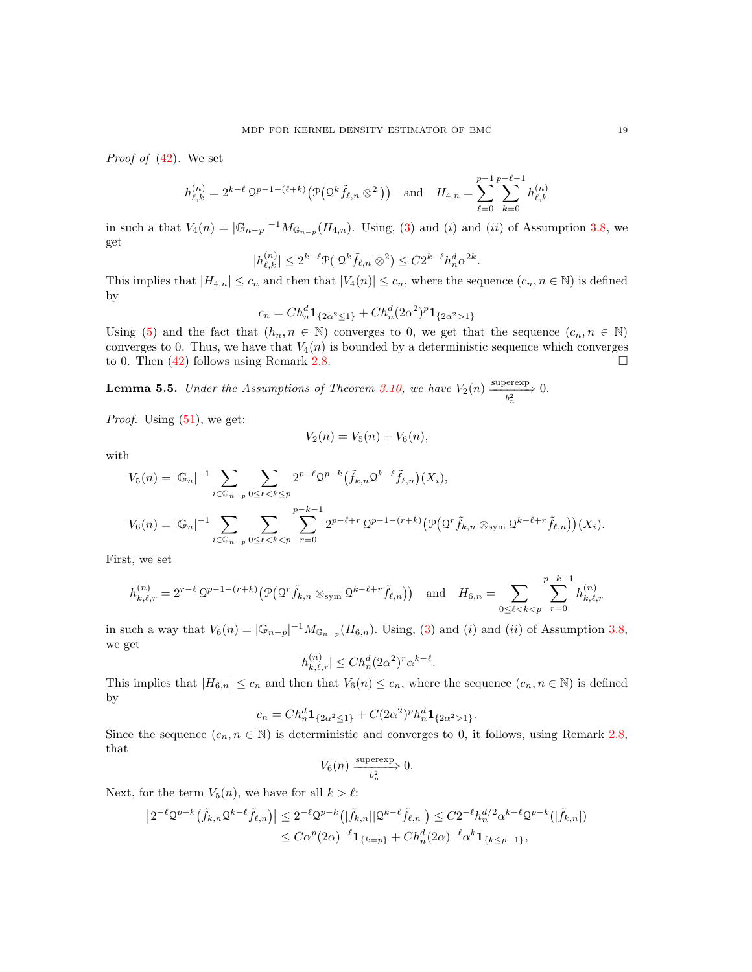*Proof of* [\(42\)](#page-17-1)*.* We set

$$
h_{\ell,k}^{(n)} = 2^{k-\ell} \, \mathcal{Q}^{p-1-(\ell+k)} \big( \mathcal{P} \big( \mathcal{Q}^k \tilde{f}_{\ell,n} \otimes^2 \big) \big) \quad \text{and} \quad H_{4,n} = \sum_{\ell=0}^{p-1} \sum_{k=0}^{p-\ell-1} h_{\ell,k}^{(n)}
$$

in such a that  $V_4(n) = |\mathbb{G}_{n-p}|^{-1} M_{\mathbb{G}_{n-p}}(H_{4,n})$ . Using, [\(3\)](#page-3-3) and (i) and (ii) of Assumption [3.8,](#page-6-2) we get

$$
|h_{\ell,k}^{(n)}| \le 2^{k-\ell} \mathcal{P}(|\mathcal{Q}^k \tilde{f}_{\ell,n}| \otimes^2) \le C 2^{k-\ell} h_n^d \alpha^{2k}.
$$

This implies that  $|H_{4,n}| \leq c_n$  and then that  $|V_4(n)| \leq c_n$ , where the sequence  $(c_n, n \in \mathbb{N})$  is defined by

$$
c_n = Ch_n^d \mathbf{1}_{\{2\alpha^2 \le 1\}} + Ch_n^d (2\alpha^2)^p \mathbf{1}_{\{2\alpha^2 > 1\}}
$$

Using [\(5\)](#page-4-6) and the fact that  $(h_n, n \in \mathbb{N})$  converges to 0, we get that the sequence  $(c_n, n \in \mathbb{N})$ converges to 0. Thus, we have that  $V_4(n)$  is bounded by a deterministic sequence which converges to 0. Then  $(42)$  follows using Remark [2.8.](#page-3-4)

<span id="page-18-0"></span>**Lemma 5.5.** *Under the Assumptions of Theorem [3.10,](#page-7-2)* we have  $V_2(n) \xrightarrow[\frac{b_n^2}{n}]{} 0.$ 

*Proof.* Using  $(51)$ , we get:

$$
V_2(n) = V_5(n) + V_6(n),
$$

with

$$
V_5(n) = |\mathbb{G}_n|^{-1} \sum_{i \in \mathbb{G}_{n-p}} \sum_{0 \le \ell < k \le p} 2^{p-\ell} 2^{p-k} (\tilde{f}_{k,n} 2^{k-\ell} \tilde{f}_{\ell,n}) (X_i),
$$
  

$$
V_6(n) = |\mathbb{G}_n|^{-1} \sum_{i \in \mathbb{G}_{n-p}} \sum_{0 \le \ell < k < p} \sum_{r=0}^{p-k-1} 2^{p-\ell+r} 2^{p-1-(r+k)} \big( \mathcal{P} \big( 2^r \tilde{f}_{k,n} \otimes_{\text{sym}} 2^{k-\ell+r} \tilde{f}_{\ell,n} \big) \big) (X_i).
$$

First, we set

$$
h_{k,\ell,r}^{(n)} = 2^{r-\ell} 2^{p-1-(r+k)} \left( \mathcal{P} \left( 2^r \tilde{f}_{k,n} \otimes_{\text{sym}} 2^{k-\ell+r} \tilde{f}_{\ell,n} \right) \right) \quad \text{and} \quad H_{6,n} = \sum_{0 \le \ell < k < p} \sum_{r=0}^{p-k-1} h_{k,\ell,r}^{(n)}
$$

in such a way that  $V_6(n) = |\mathbb{G}_{n-p}|^{-1} M_{\mathbb{G}_{n-p}}(H_{6,n})$ . Using, [\(3\)](#page-3-3) and (*i*) and (*ii*) of Assumption [3.8,](#page-6-2) we get

$$
|h_{k,\ell,r}^{(n)}| \le Ch_n^d (2\alpha^2)^r \alpha^{k-\ell}.
$$

This implies that  $|H_{6,n}| \leq c_n$  and then that  $V_6(n) \leq c_n$ , where the sequence  $(c_n, n \in \mathbb{N})$  is defined by

$$
c_n = Ch_n^d \mathbf{1}_{\{2\alpha^2 \le 1\}} + C(2\alpha^2)^p h_n^d \mathbf{1}_{\{2\alpha^2 > 1\}}.
$$

Since the sequence  $(c_n, n \in \mathbb{N})$  is deterministic and converges to 0, it follows, using Remark [2.8,](#page-3-4) that

$$
V_6(n) \xrightarrow{\text{supercxp}} 0.
$$

Next, for the term  $V_5(n)$ , we have for all  $k > \ell$ :

$$
\left|2^{-\ell} \mathcal{Q}^{p-k}\left(\tilde{f}_{k,n}\mathcal{Q}^{k-\ell}\tilde{f}_{\ell,n}\right)\right| \leq 2^{-\ell} \mathcal{Q}^{p-k}\left(|\tilde{f}_{k,n}||\mathcal{Q}^{k-\ell}\tilde{f}_{\ell,n}|\right) \leq C2^{-\ell}h_n^{d/2}\alpha^{k-\ell}\mathcal{Q}^{p-k}(|\tilde{f}_{k,n}|)
$$
  

$$
\leq C\alpha^p(2\alpha)^{-\ell}\mathbf{1}_{\{k=p\}} + Ch_n^d(2\alpha)^{-\ell}\alpha^k\mathbf{1}_{\{k\leq p-1\}},
$$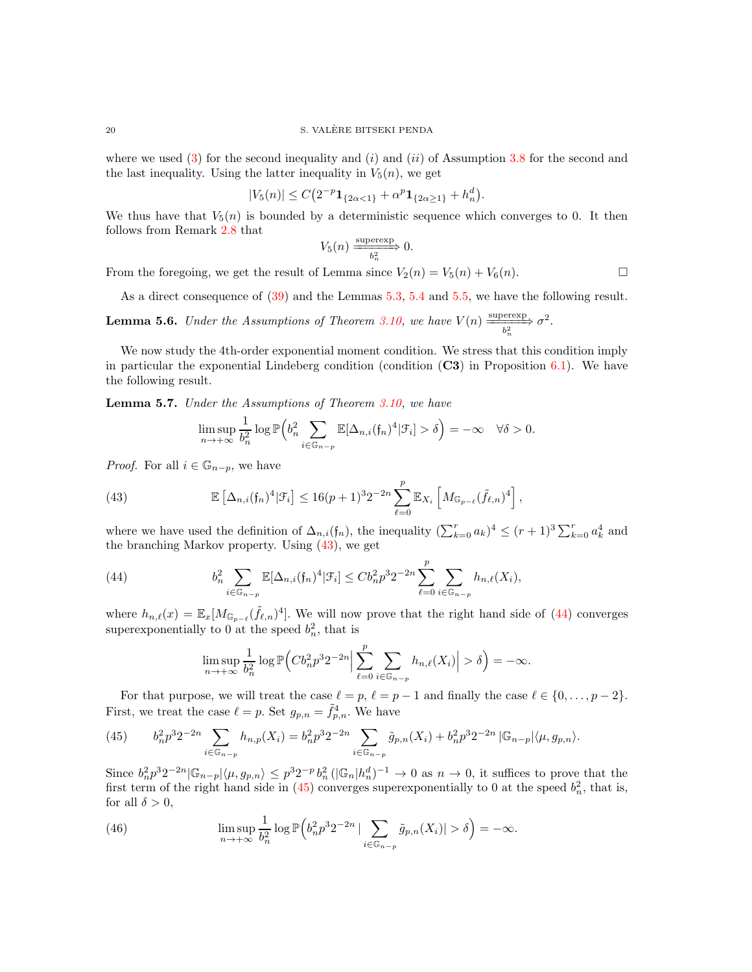where we used  $(3)$  for the second inequality and  $(i)$  and  $(ii)$  of Assumption [3.8](#page-6-2) for the second and the last inequality. Using the latter inequality in  $V_5(n)$ , we get

$$
|V_5(n)| \le C\big(2^{-p}\mathbf{1}_{\{2\alpha < 1\}} + \alpha^p \mathbf{1}_{\{2\alpha \ge 1\}} + h_n^d\big).
$$

We thus have that  $V_5(n)$  is bounded by a deterministic sequence which converges to 0. It then follows from Remark [2.8](#page-3-4) that

$$
V_5(n) \xrightarrow{\text{supercxp}} 0.
$$

From the foregoing, we get the result of Lemma since  $V_2(n) = V_5(n) + V_6(n)$ .

As a direct consequence of [\(39\)](#page-16-3) and the Lemmas [5.3,](#page-16-1) [5.4](#page-16-2) and [5.5,](#page-18-0) we have the following result.

<span id="page-19-4"></span>**Lemma 5.6.** *Under the Assumptions of Theorem [3.10,](#page-7-2)* we have  $V(n) \xrightarrow[\frac{10}{6}]{\text{supercxp}} \sigma^2$ . n

We now study the 4th-order exponential moment condition. We stress that this condition imply in particular the exponential Lindeberg condition (condition  $(C3)$ ) in Proposition [6.1\)](#page-24-5). We have the following result.

<span id="page-19-5"></span>Lemma 5.7. *Under the Assumptions of Theorem [3.10,](#page-7-2) we have*

<span id="page-19-0"></span>
$$
\limsup_{n \to +\infty} \frac{1}{b_n^2} \log \mathbb{P}\left(b_n^2 \sum_{i \in \mathbb{G}_{n-p}} \mathbb{E}[\Delta_{n,i}(\mathfrak{f}_n)^4 | \mathcal{F}_i] > \delta\right) = -\infty \quad \forall \delta > 0.
$$

*Proof.* For all  $i \in \mathbb{G}_{n-p}$ , we have

(43) 
$$
\mathbb{E}\left[\Delta_{n,i}(f_n)^4|\mathcal{F}_i\right] \leq 16(p+1)^3 2^{-2n} \sum_{\ell=0}^p \mathbb{E}_{X_i}\left[M_{\mathbb{G}_{p-\ell}}(\tilde{f}_{\ell,n})^4\right],
$$

where we have used the definition of  $\Delta_{n,i}(\mathfrak{f}_n)$ , the inequality  $(\sum_{k=0}^r a_k)^4 \le (r+1)^3 \sum_{k=0}^r a_k^4$  and the branching Markov property. Using [\(43\)](#page-19-0), we get

(44) 
$$
b_n^2 \sum_{i \in \mathbb{G}_{n-p}} \mathbb{E}[\Delta_{n,i}(\mathfrak{f}_n)^4 | \mathcal{F}_i] \le C b_n^2 p^3 2^{-2n} \sum_{\ell=0}^p \sum_{i \in \mathbb{G}_{n-p}} h_{n,\ell}(X_i),
$$

where  $h_{n,\ell}(x) = \mathbb{E}_x[M_{\mathbb{G}_{p-\ell}}(\tilde{f}_{\ell,n})^4]$ . We will now prove that the right hand side of [\(44\)](#page-19-1) converges superexponentially to 0 at the speed  $b_n^2$ , that is

<span id="page-19-1"></span>
$$
\limsup_{n \to +\infty} \frac{1}{b_n^2} \log \mathbb{P}\Big(Cb_n^2 p^3 2^{-2n} \Big| \sum_{\ell=0}^p \sum_{i \in \mathbb{G}_{n-p}} h_{n,\ell}(X_i) \Big| > \delta \Big) = -\infty.
$$

For that purpose, we will treat the case  $\ell = p$ ,  $\ell = p - 1$  and finally the case  $\ell \in \{0, ..., p - 2\}$ . First, we treat the case  $\ell = p$ . Set  $g_{p,n} = \tilde{f}_{p,n}^4$ . We have

<span id="page-19-2"></span>(45) 
$$
b_n^2 p^3 2^{-2n} \sum_{i \in \mathbb{G}_{n-p}} h_{n,p}(X_i) = b_n^2 p^3 2^{-2n} \sum_{i \in \mathbb{G}_{n-p}} \tilde{g}_{p,n}(X_i) + b_n^2 p^3 2^{-2n} |\mathbb{G}_{n-p}| \langle \mu, g_{p,n} \rangle.
$$

Since  $b_n^2 p^3 2^{-2n} |\mathbb{G}_{n-p}| \langle \mu, g_{p,n} \rangle \leq p^3 2^{-p} b_n^2 (|\mathbb{G}_n|h_n^d)^{-1} \to 0$  as  $n \to 0$ , it suffices to prove that the first term of the right hand side in [\(45\)](#page-19-2) converges superexponentially to 0 at the speed  $b_n^2$ , that is, for all  $\delta > 0$ ,

<span id="page-19-3"></span>(46) 
$$
\limsup_{n \to +\infty} \frac{1}{b_n^2} \log \mathbb{P}\left(b_n^2 p^3 2^{-2n} \mid \sum_{i \in \mathbb{G}_{n-p}} \tilde{g}_{p,n}(X_i) \mid > \delta\right) = -\infty.
$$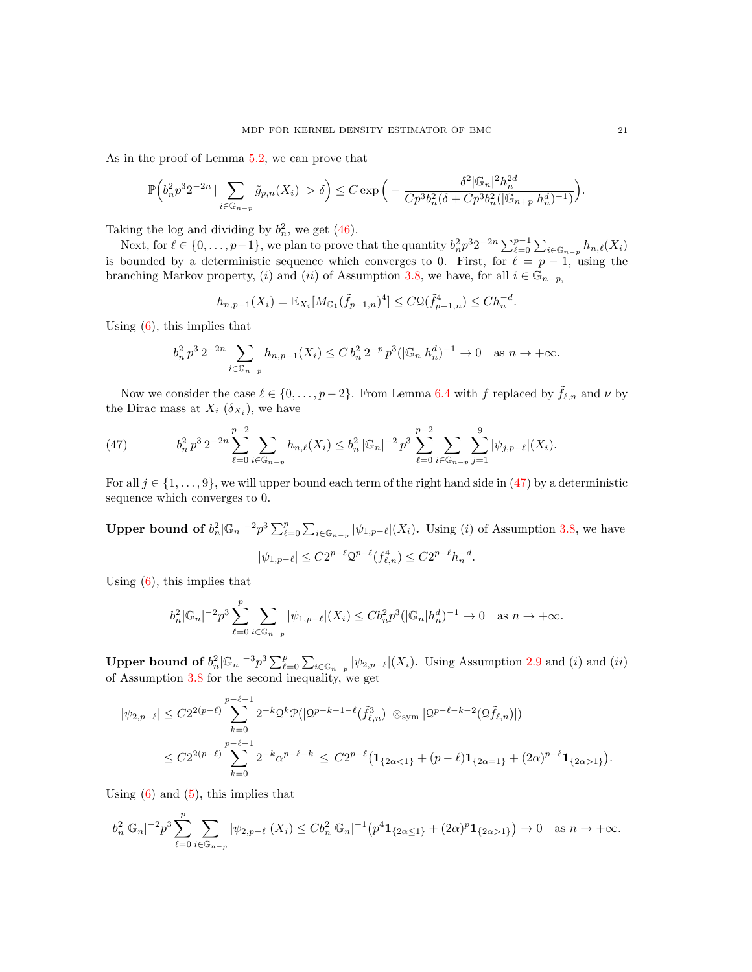As in the proof of Lemma [5.2,](#page-13-2) we can prove that

$$
\mathbb{P}\Big(b_n^2 p^3 2^{-2n} \,|\sum_{i \in \mathbb{G}_{n-p}} \tilde{g}_{p,n}(X_i)| > \delta\Big) \leq C \exp\Big(-\frac{\delta^2 |\mathbb{G}_n|^2 h_n^{2d}}{C p^3 b_n^2 (\delta + C p^3 b_n^2 (|\mathbb{G}_{n+p}| h_n^d)^{-1})}\Big).
$$

Taking the log and dividing by  $b_n^2$ , we get [\(46\)](#page-19-3).

Next, for  $\ell \in \{0, \ldots, p-1\}$ , we plan to prove that the quantity  $b_n^2 p^3 2^{-2n} \sum_{\ell=0}^{p-1} \sum_{i \in \mathbb{G}_{n-p}} h_{n,\ell}(X_i)$ is bounded by a deterministic sequence which converges to 0. First, for  $\ell = p - 1$ , using the branching Markov property, (i) and (ii) of Assumption [3.8,](#page-6-2) we have, for all  $i \in \mathbb{G}_{n-p}$ ,

$$
h_{n,p-1}(X_i) = \mathbb{E}_{X_i}[M_{\mathbb{G}_1}(\tilde{f}_{p-1,n})^4] \leq C\mathcal{Q}(\tilde{f}_{p-1,n}^4) \leq Ch_n^{-d}.
$$

Using  $(6)$ , this implies that

$$
b_n^2 p^3 2^{-2n} \sum_{i \in \mathbb{G}_{n-p}} h_{n,p-1}(X_i) \le C b_n^2 2^{-p} p^3 (|\mathbb{G}_n| h_n^d)^{-1} \to 0 \quad \text{as } n \to +\infty.
$$

Now we consider the case  $\ell \in \{0, \ldots, p-2\}$ . From Lemma [6.4](#page-25-6) with f replaced by  $\tilde{f}_{\ell,n}$  and  $\nu$  by the Dirac mass at  $X_i$  ( $\delta_{X_i}$ ), we have

<span id="page-20-0"></span>(47) 
$$
b_n^2 p^3 2^{-2n} \sum_{\ell=0}^{p-2} \sum_{i \in \mathbb{G}_{n-p}} h_{n,\ell}(X_i) \leq b_n^2 |\mathbb{G}_n|^{-2} p^3 \sum_{\ell=0}^{p-2} \sum_{i \in \mathbb{G}_{n-p}} \sum_{j=1}^9 |\psi_{j,p-\ell}|(X_i).
$$

For all  $j \in \{1, \ldots, 9\}$ , we will upper bound each term of the right hand side in [\(47\)](#page-20-0) by a deterministic sequence which converges to 0.

**Upper bound of**  $b_n^2 |\mathbb{G}_n|^{-2} p^3 \sum_{\ell=0}^p \sum_{i \in \mathbb{G}_{n-p}} |\psi_{1,p-\ell}|(X_i)$ . Using (i) of Assumption [3.8,](#page-6-2) we have  $|\psi_{1,p-\ell}| \leq C 2^{p-\ell} \mathcal{Q}^{p-\ell}(f_{\ell,n}^4) \leq C 2^{p-\ell} h_n^{-d}.$ 

Using  $(6)$ , this implies that

$$
b_n^2 |\mathbb{G}_n|^{-2} p^3 \sum_{\ell=0}^p \sum_{i \in \mathbb{G}_{n-p}} |\psi_{1,p-\ell}|(X_i) \le C b_n^2 p^3 (|\mathbb{G}_n| h_n^d)^{-1} \to 0 \quad \text{as } n \to +\infty.
$$

**Upper bound of**  $b_n^2 |\mathbb{G}_n|^{-3} p^3 \sum_{i=0}^p \sum_{i \in \mathbb{G}_{n-p}} |\psi_{2,p-\ell}|(X_i)$ . Using Assumption [2.9](#page-3-0) and (i) and (ii) of Assumption [3.8](#page-6-2) for the second inequality, we get

$$
|\psi_{2,p-\ell}| \leq C2^{2(p-\ell)} \sum_{k=0}^{p-\ell-1} 2^{-k} \Omega^k \mathcal{P}(|\Omega^{p-k-1-\ell}(\tilde{f}_{\ell,n}^3)| \otimes_{\text{sym}} |\Omega^{p-\ell-k-2}(\Omega \tilde{f}_{\ell,n})|)
$$
  

$$
\leq C2^{2(p-\ell)} \sum_{k=0}^{p-\ell-1} 2^{-k} \alpha^{p-\ell-k} \leq C2^{p-\ell} (\mathbf{1}_{\{2\alpha < 1\}} + (p-\ell)\mathbf{1}_{\{2\alpha = 1\}} + (2\alpha)^{p-\ell} \mathbf{1}_{\{2\alpha > 1\}}).
$$

Using  $(6)$  and  $(5)$ , this implies that

$$
b_n^2 |\mathbb{G}_n|^{-2} p^3 \sum_{\ell=0}^p \sum_{i \in \mathbb{G}_{n-p}} |\psi_{2,p-\ell}|(X_i) \le C b_n^2 |\mathbb{G}_n|^{-1} \left( p^4 \mathbf{1}_{\{2\alpha \le 1\}} + (2\alpha)^p \mathbf{1}_{\{2\alpha > 1\}} \right) \to 0 \quad \text{as } n \to +\infty.
$$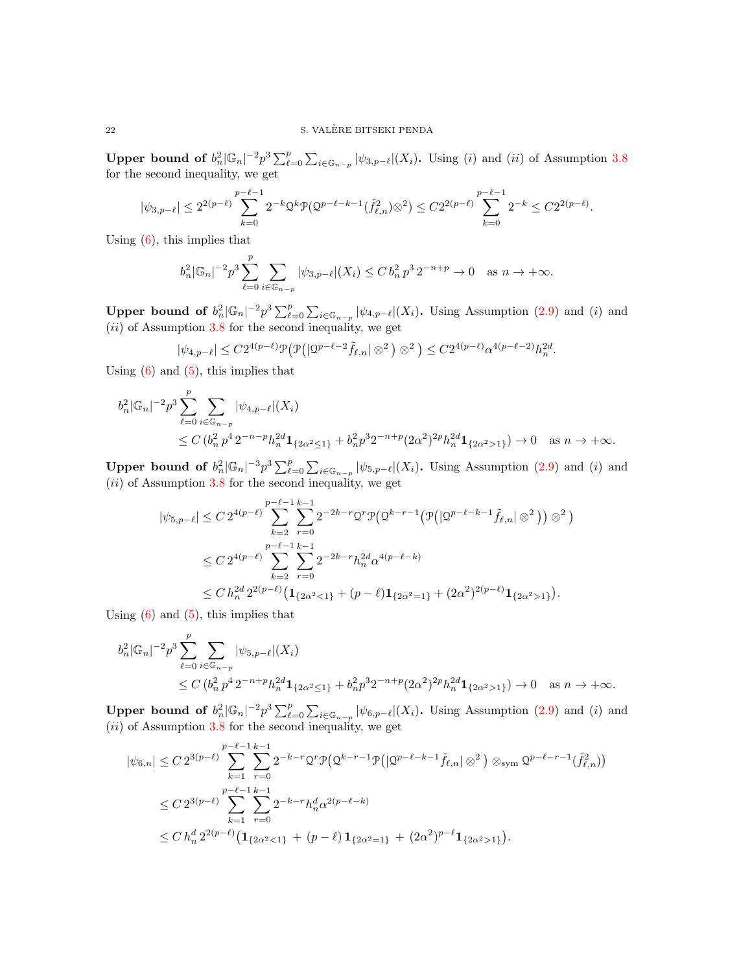**Upper bound of**  $b_n^2 |\mathbb{G}_n|^{-2} p^3 \sum_{\ell=0}^p \sum_{i \in \mathbb{G}_{n-p}} |\psi_{3,p-\ell}|(X_i)$ . Using (i) and (ii) of Assumption [3.8](#page-6-2) for the second inequality, we get

$$
|\psi_{3,p-\ell}|\leq 2^{2(p-\ell)}\sum_{k=0}^{p-\ell-1}2^{-k}\mathcal{Q}^k\mathcal{P}(\mathcal{Q}^{p-\ell-k-1}(\tilde{f}_{\ell,n}^2)\otimes^2)\leq C2^{2(p-\ell)}\sum_{k=0}^{p-\ell-1}2^{-k}\leq C2^{2(p-\ell)}.
$$

Using  $(6)$ , this implies that

$$
b_n^2 |\mathbb{G}_n|^{-2} p^3 \sum_{\ell=0}^p \sum_{i \in \mathbb{G}_{n-p}} |\psi_{3,p-\ell}| (X_i) \le C b_n^2 p^3 2^{-n+p} \to 0 \quad \text{as } n \to +\infty.
$$

**Upper bound of**  $b_n^2 |\mathbb{G}_n|^{-2} p^3 \sum_{\ell=0}^p \sum_{i \in \mathbb{G}_{n-p}} |\psi_{4,p-\ell}|(X_i)$ . Using Assumption [\(2.9\)](#page-3-0) and (i) and  $(ii)$  of Assumption [3.8](#page-6-2) for the second inequality, we get

$$
|\psi_{4,p-\ell}|\leq C2^{4(p-\ell)}\mathcal{P}\big(\mathcal{P}\big(|\mathbb{Q}^{p-\ell-2}\tilde{f}_{\ell,n}|\otimes^2\big)\otimes^2\big)\leq C2^{4(p-\ell)}\alpha^{4(p-\ell-2)}h_n^{2d}.
$$

Using  $(6)$  and  $(5)$ , this implies that

$$
b_n^2 |\mathbb{G}_n|^{-2} p^3 \sum_{\ell=0}^p \sum_{i \in \mathbb{G}_{n-p}} |\psi_{4,p-\ell}|(X_i)
$$
  
 
$$
\leq C (b_n^2 p^4 2^{-n-p} h_n^{2d} \mathbf{1}_{\{2\alpha^2 \leq 1\}} + b_n^2 p^3 2^{-n+p} (2\alpha^2)^{2p} h_n^{2d} \mathbf{1}_{\{2\alpha^2 > 1\}}) \to 0 \text{ as } n \to +\infty.
$$

**Upper bound of**  $b_n^2 |\mathbb{G}_n|^{-3} p^3 \sum_{\ell=0}^p \sum_{i \in \mathbb{G}_{n-p}} |\psi_{5,p-\ell}|(X_i)$ . Using Assumption [\(2.9\)](#page-3-0) and (i) and  $(ii)$  of Assumption [3.8](#page-6-2) for the second inequality, we get

$$
|\psi_{5,p-\ell}| \le C 2^{4(p-\ell)} \sum_{k=2}^{p-\ell-1} \sum_{r=0}^{k-1} 2^{-2k-r} 2^r \mathcal{P} \big( \mathcal{Q}^{k-r-1} \big( \mathcal{P} \big( |\mathcal{Q}^{p-\ell-k-1} \tilde{f}_{\ell,n} | \otimes^2 \big) \big) \otimes^2 \big)
$$
  

$$
\le C 2^{4(p-\ell)} \sum_{k=2}^{p-\ell-1} \sum_{r=0}^{k-1} 2^{-2k-r} h_n^{2d} \alpha^{4(p-\ell-k)}
$$
  

$$
\le C h_n^{2d} 2^{2(p-\ell)} \big( \mathbf{1}_{\{2\alpha^2 < 1\}} + (p-\ell) \mathbf{1}_{\{2\alpha^2 = 1\}} + (2\alpha^2)^{2(p-\ell)} \mathbf{1}_{\{2\alpha^2 > 1\}} \big).
$$

Using  $(6)$  and  $(5)$ , this implies that

$$
b_n^2 |\mathbb{G}_n|^{-2} p^3 \sum_{\ell=0}^p \sum_{i \in \mathbb{G}_{n-p}} |\psi_{5,p-\ell}|(X_i)
$$
  
 
$$
\leq C \left( b_n^2 p^4 2^{-n+p} h_n^{2d} \mathbf{1}_{\{2\alpha^2 \leq 1\}} + b_n^2 p^3 2^{-n+p} (2\alpha^2)^{2p} h_n^{2d} \mathbf{1}_{\{2\alpha^2 > 1\}} \right) \to 0 \quad \text{as } n \to +\infty.
$$

**Upper bound of**  $b_n^2 |\mathbb{G}_n|^{-2} p^3 \sum_{\ell=0}^p \sum_{i \in \mathbb{G}_{n-p}} |\psi_{6,p-\ell}|(X_i)$ . Using Assumption [\(2.9\)](#page-3-0) and (i) and  $(ii)$  of Assumption [3.8](#page-6-2) for the second inequality, we get

$$
|\psi_{6,n}| \leq C 2^{3(p-\ell)} \sum_{k=1}^{p-\ell-1} \sum_{r=0}^{k-1} 2^{-k-r} 2^r \mathcal{P} \big( \mathcal{Q}^{k-r-1} \mathcal{P} \big( |\mathcal{Q}^{p-\ell-k-1} \tilde{f}_{\ell,n} | \otimes^2 \big) \otimes_{\text{sym}} \mathcal{Q}^{p-\ell-r-1}(\tilde{f}_{\ell,n}^2) \big)
$$
  
\n
$$
\leq C 2^{3(p-\ell)} \sum_{k=1}^{p-\ell-1} \sum_{r=0}^{k-1} 2^{-k-r} h_n^d \alpha^{2(p-\ell-k)}
$$
  
\n
$$
\leq C h_n^d 2^{2(p-\ell)} \big( \mathbf{1}_{\{2\alpha^2 < 1\}} + (p-\ell) \mathbf{1}_{\{2\alpha^2 = 1\}} + (2\alpha^2)^{p-\ell} \mathbf{1}_{\{2\alpha^2 > 1\}} \big).
$$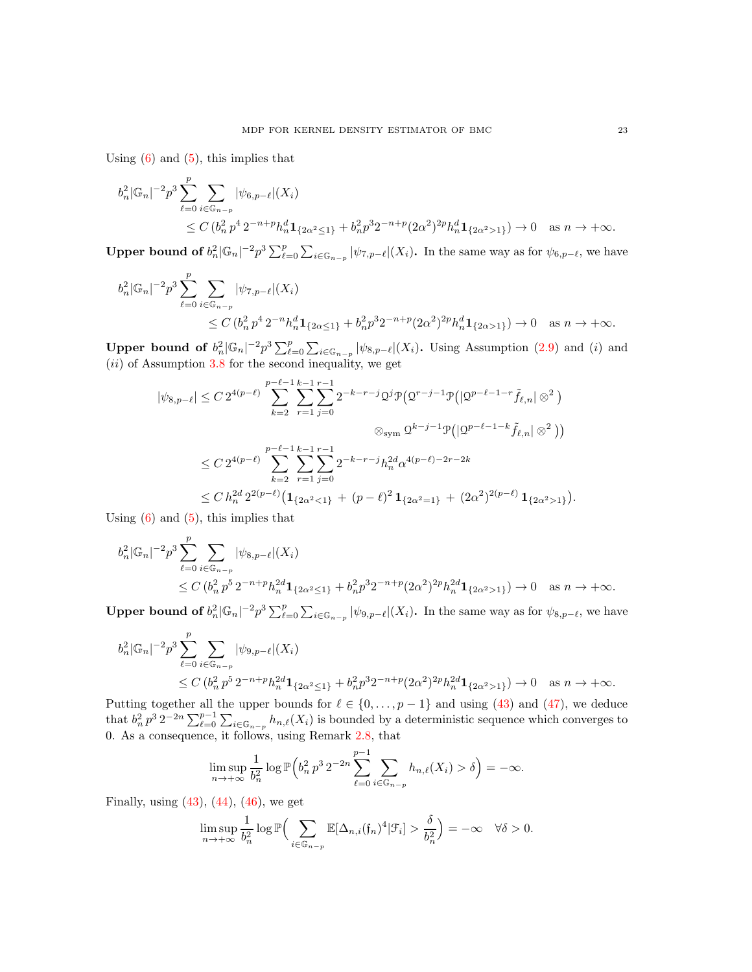Using  $(6)$  and  $(5)$ , this implies that

$$
b_n^2 |\mathbb{G}_n|^{-2} p^3 \sum_{\ell=0}^p \sum_{i \in \mathbb{G}_{n-p}} |\psi_{6,p-\ell}|(X_i)
$$
  
 
$$
\leq C (b_n^2 p^4 2^{-n+p} h_n^d \mathbf{1}_{\{2\alpha^2 \leq 1\}} + b_n^2 p^3 2^{-n+p} (2\alpha^2)^{2p} h_n^d \mathbf{1}_{\{2\alpha^2 > 1\}}) \to 0 \text{ as } n \to +\infty.
$$

**Upper bound of**  $b_n^2 |\mathbb{G}_n|^{-2} p^3 \sum_{\ell=0}^p \sum_{i \in \mathbb{G}_{n-p}} |\psi_{7,p-\ell}|(X_i)$ . In the same way as for  $\psi_{6,p-\ell}$ , we have

$$
b_n^2 |\mathbb{G}_n|^{-2} p^3 \sum_{\ell=0}^p \sum_{i \in \mathbb{G}_{n-p}} |\psi_{7,p-\ell}|(X_i)
$$
  
 
$$
\leq C (b_n^2 p^4 2^{-n} h_n^d \mathbf{1}_{\{2\alpha \leq 1\}} + b_n^2 p^3 2^{-n+p} (2\alpha^2)^{2p} h_n^d \mathbf{1}_{\{2\alpha > 1\}}) \to 0 \text{ as } n \to +\infty.
$$

**Upper bound of**  $b_n^2 |\mathbb{G}_n|^{-2} p^3 \sum_{\ell=0}^p \sum_{i \in \mathbb{G}_{n-p}} |\psi_{8,p-\ell}|(X_i)$ . Using Assumption [\(2.9\)](#page-3-0) and (i) and  $(ii)$  of Assumption [3.8](#page-6-2) for the second inequality, we get

$$
|\psi_{8,p-\ell}| \le C 2^{4(p-\ell)} \sum_{k=2}^{p-\ell-1} \sum_{r=1}^{k-1} \sum_{j=0}^{r-1} 2^{-k-r-j} \Omega^j \mathcal{P}(\Omega^{r-j-1} \mathcal{P}(|\Omega^{p-\ell-1-r} \tilde{f}_{\ell,n}| \otimes^2)
$$
  

$$
\otimes_{\text{sym}} \Omega^{k-j-1} \mathcal{P}(|\Omega^{p-\ell-1-k} \tilde{f}_{\ell,n}| \otimes^2))
$$
  

$$
\le C 2^{4(p-\ell)} \sum_{k=2}^{p-\ell-1} \sum_{r=1}^{k-1} \sum_{j=0}^{r-1} 2^{-k-r-j} h_n^{2d} \alpha^{4(p-\ell)-2r-2k}
$$
  

$$
\le C h_n^{2d} 2^{2(p-\ell)} \big( \mathbf{1}_{\{2\alpha^2 < 1\}} + (p-\ell)^2 \mathbf{1}_{\{2\alpha^2 = 1\}} + (2\alpha^2)^{2(p-\ell)} \mathbf{1}_{\{2\alpha^2 > 1\}} \big).
$$

Using  $(6)$  and  $(5)$ , this implies that

$$
b_n^2 |\mathbb{G}_n|^{-2} p^3 \sum_{\ell=0}^p \sum_{i \in \mathbb{G}_{n-p}} |\psi_{8,p-\ell}|(X_i)
$$
  
 
$$
\leq C \left( b_n^2 p^5 2^{-n+p} h_n^{2d} \mathbf{1}_{\{2\alpha^2 \leq 1\}} + b_n^2 p^3 2^{-n+p} (2\alpha^2)^{2p} h_n^{2d} \mathbf{1}_{\{2\alpha^2 > 1\}} \right) \to 0 \text{ as } n \to +\infty.
$$

Upper bound of  $b_n^2 |\mathbb{G}_n|^{-2} p^3 \sum_{\ell=0}^p \sum_{i \in \mathbb{G}_{n-p}} |\psi_{9,p-\ell}|(X_i)$ . In the same way as for  $\psi_{8,p-\ell}$ , we have

$$
b_n^2 |\mathbb{G}_n|^{-2} p^3 \sum_{\ell=0}^p \sum_{i \in \mathbb{G}_{n-p}} |\psi_{9,p-\ell}|(X_i)
$$
  
 
$$
\leq C \left( b_n^2 p^5 2^{-n+p} h_n^{2d} \mathbf{1}_{\{2\alpha^2 \leq 1\}} + b_n^2 p^3 2^{-n+p} (2\alpha^2)^{2p} h_n^{2d} \mathbf{1}_{\{2\alpha^2 > 1\}} \right) \to 0 \text{ as } n \to +\infty.
$$

Putting together all the upper bounds for  $\ell \in \{0, \ldots, p-1\}$  and using [\(43\)](#page-19-0) and [\(47\)](#page-20-0), we deduce that  $b_n^2 p^3 2^{-2n} \sum_{\ell=0}^{p-1} \sum_{i \in \mathbb{G}_{n-p}} h_{n,\ell}(X_i)$  is bounded by a deterministic sequence which converges to 0. As a consequence, it follows, using Remark [2.8,](#page-3-4) that

$$
\limsup_{n\to+\infty}\frac{1}{b_n^2}\log\mathbb{P}\Big(b_n^2\,p^3\,2^{-2n}\sum_{\ell=0}^{p-1}\sum_{i\in\mathbb{G}_{n-p}}h_{n,\ell}(X_i)>\delta\Big)=-\infty.
$$

Finally, using  $(43)$ ,  $(44)$ ,  $(46)$ , we get

$$
\limsup_{n \to +\infty} \frac{1}{b_n^2} \log \mathbb{P}\Big(\sum_{i \in \mathbb{G}_n - p} \mathbb{E}[\Delta_{n,i}(\mathfrak{f}_n)^4 | \mathcal{F}_i] > \frac{\delta}{b_n^2}\Big) = -\infty \quad \forall \delta > 0.
$$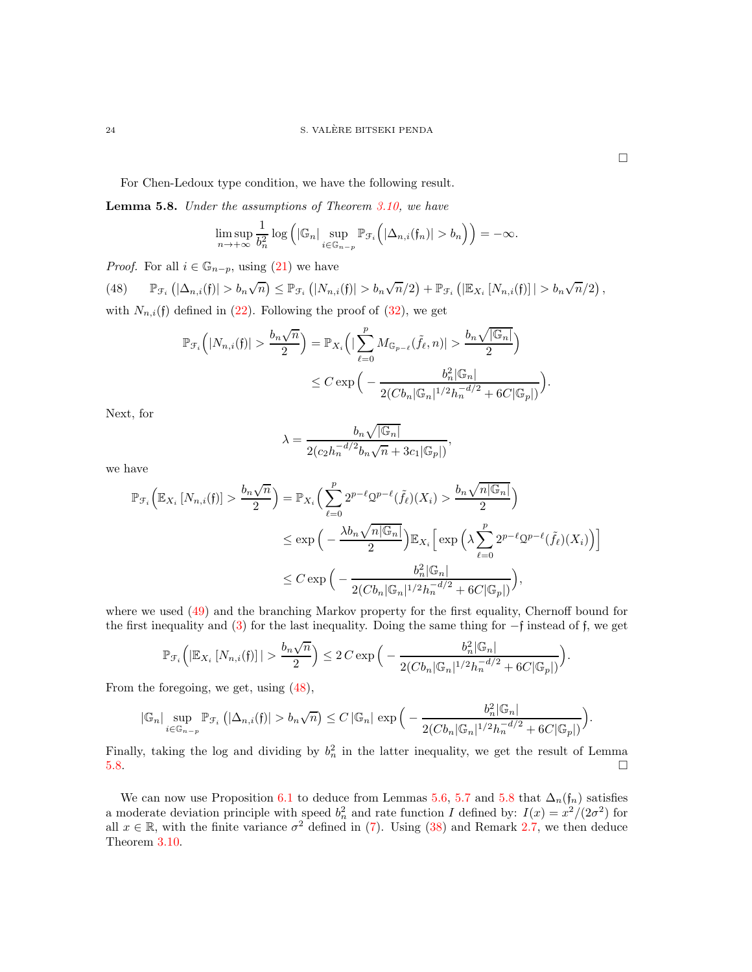For Chen-Ledoux type condition, we have the following result.

<span id="page-23-1"></span>Lemma 5.8. *Under the assumptions of Theorem [3.10,](#page-7-2) we have*

$$
\limsup_{n\to+\infty}\frac{1}{b_n^2}\log\left(|\mathbb{G}_n|\sup_{i\in\mathbb{G}_{n-p}}\mathbb{P}_{\mathcal{F}_i}\left(|\Delta_{n,i}(f_n)|>b_n\right)\right)=-\infty.
$$

*Proof.* For all  $i \in \mathbb{G}_{n-p}$ , using [\(21\)](#page-10-2) we have

<span id="page-23-0"></span>(48)  $\mathbb{P}_{\mathcal{F}_i}(|\Delta_{n,i}(f)| > b_n\sqrt{n}) \leq \mathbb{P}_{\mathcal{F}_i}(|N_{n,i}(f)| > b_n\sqrt{n}/2) + \mathbb{P}_{\mathcal{F}_i}(|\mathbb{E}_{X_i}[N_{n,i}(f)|] > b_n\sqrt{n}/2),$ with  $N_{n,i}(\mathfrak{f})$  defined in [\(22\)](#page-10-4). Following the proof of [\(32\)](#page-13-0), we get

$$
\mathbb{P}_{\mathcal{F}_i}\left(|N_{n,i}(\mathfrak{f})| > \frac{b_n\sqrt{n}}{2}\right) = \mathbb{P}_{X_i}\left(|\sum_{\ell=0}^p M_{\mathbb{G}_{p-\ell}}(\tilde{f}_{\ell}, n)| > \frac{b_n\sqrt{|\mathbb{G}_n|}}{2}\right)
$$

$$
\leq C \exp\left(-\frac{b_n^2|\mathbb{G}_n|}{2(Cb_n|\mathbb{G}_n|^{1/2}h_n^{-d/2} + 6C|\mathbb{G}_p|)}\right).
$$

Next, for

$$
\lambda = \frac{b_n \sqrt{|\mathbb{G}_n|}}{2(c_2 h_n^{-d/2} b_n \sqrt{n} + 3c_1 |\mathbb{G}_p|)},
$$

we have

$$
\mathbb{P}_{\mathcal{F}_i} \Big( \mathbb{E}_{X_i} \left[ N_{n,i}(f) \right] > \frac{b_n \sqrt{n}}{2} \Big) = \mathbb{P}_{X_i} \Big( \sum_{\ell=0}^p 2^{p-\ell} 2^{p-\ell} (\tilde{f}_{\ell})(X_i) > \frac{b_n \sqrt{n |\mathbb{G}_n|}}{2} \Big)
$$
  

$$
\leq \exp \Big( - \frac{\lambda b_n \sqrt{n |\mathbb{G}_n|}}{2} \Big) \mathbb{E}_{X_i} \Big[ \exp \Big( \lambda \sum_{\ell=0}^p 2^{p-\ell} 2^{p-\ell} (\tilde{f}_{\ell})(X_i) \Big) \Big]
$$
  

$$
\leq C \exp \Big( - \frac{b_n^2 |\mathbb{G}_n|}{2(Cb_n |\mathbb{G}_n|^{1/2} h_n^{-d/2} + 6C |\mathbb{G}_p|)} \Big),
$$

where we used  $(49)$  and the branching Markov property for the first equality, Chernoff bound for the first inequality and [\(3\)](#page-3-3) for the last inequality. Doing the same thing for −f instead of f, we get

$$
\mathbb{P}_{\mathcal{F}_i}\Big(\vert\mathbb{E}_{X_i}\left[N_{n,i}(\mathfrak{f})\right]\vert>\frac{b_n\sqrt{n}}{2}\Big)\leq 2\,C\exp\Big(-\frac{b_n^2\vert\mathbb{G}_n\vert}{2(Cb_n\vert\mathbb{G}_n\vert^{1/2}h_n^{-d/2}+6C\vert\mathbb{G}_p\vert)}\Big).
$$

From the foregoing, we get, using [\(48\)](#page-23-0),

$$
|\mathbb{G}_n| \sup_{i \in \mathbb{G}_{n-p}} \mathbb{P}_{\mathcal{F}_i} \left( |\Delta_{n,i}(\mathfrak{f})| > b_n \sqrt{n} \right) \leq C |\mathbb{G}_n| \, \exp \Big( - \frac{b_n^2 |\mathbb{G}_n|}{2(Cb_n |\mathbb{G}_n|^{1/2} h_n^{-d/2} + 6C |\mathbb{G}_p|)} \Big).
$$

Finally, taking the log and dividing by  $b_n^2$  in the latter inequality, we get the result of Lemma  $5.8.$ 

We can now use Proposition [6.1](#page-24-5) to deduce from Lemmas [5.6,](#page-19-4) [5.7](#page-19-5) and [5.8](#page-23-1) that  $\Delta_n(f_n)$  satisfies a moderate deviation principle with speed  $b_n^2$  and rate function I defined by:  $I(x) = x^2/(2\sigma^2)$  for all  $x \in \mathbb{R}$ , with the finite variance  $\sigma^2$  defined in [\(7\)](#page-6-1). Using [\(38\)](#page-15-0) and Remark [2.7,](#page-3-2) we then deduce Theorem [3.10.](#page-7-2)

 $\Box$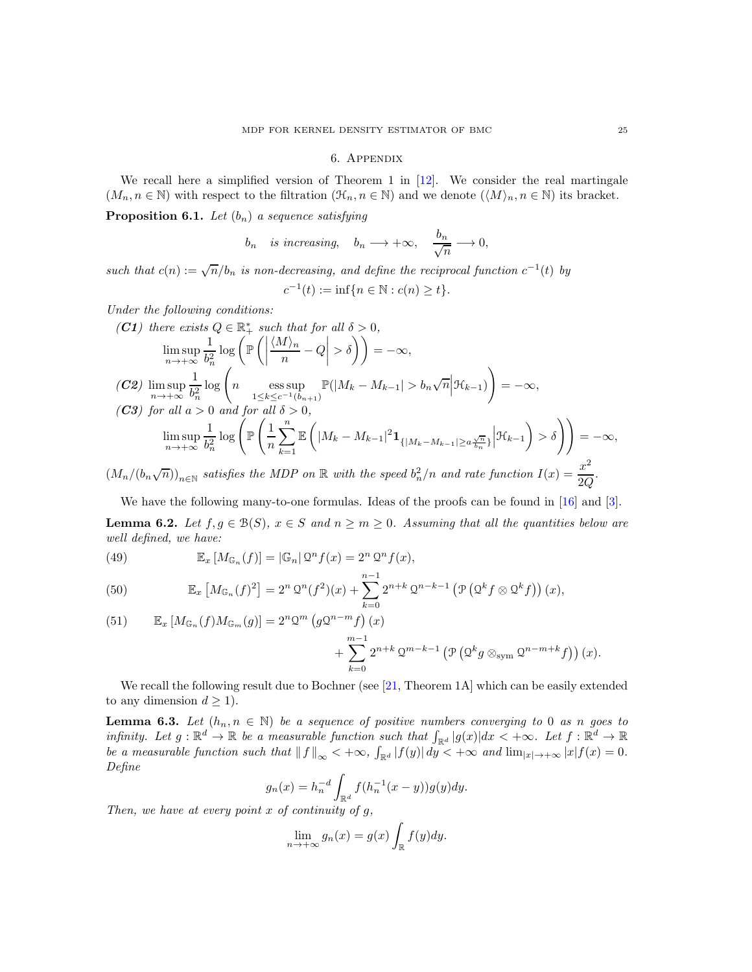#### 6. Appendix

<span id="page-24-0"></span>We recall here a simplified version of Theorem 1 in  $[12]$ . We consider the real martingale  $(M_n, n \in \mathbb{N})$  with respect to the filtration  $(\mathcal{H}_n, n \in \mathbb{N})$  and we denote  $(\langle M \rangle_n, n \in \mathbb{N})$  its bracket.

<span id="page-24-5"></span>**Proposition 6.1.** *Let*  $(b_n)$  *a sequence satisfying* 

$$
b_n
$$
 is increasing,  $b_n \longrightarrow +\infty$ ,  $\frac{b_n}{\sqrt{n}} \longrightarrow 0$ ,

*such that*  $c(n) := \sqrt{n}/b_n$  *is non-decreasing, and define the reciprocal function*  $c^{-1}(t)$  *by* 

$$
c^{-1}(t) := \inf\{n \in \mathbb{N} : c(n) \ge t\}.
$$

*Under the following conditions:*

$$
\begin{aligned}\n\text{(C1) there exists } Q \in \mathbb{R}_+^* \text{ such that for all } \delta > 0, \\
\limsup_{n \to +\infty} \frac{1}{b_n^2} \log \left( \mathbb{P} \left( \left| \frac{\langle M \rangle_n}{n} - Q \right| > \delta \right) \right) &= -\infty, \\
\text{(C2) } \limsup_{n \to +\infty} \frac{1}{b_n^2} \log \left( n \operatorname*{ess\,sup}_{1 \le k \le c^{-1}(b_{n+1})} \mathbb{P}(|M_k - M_{k-1}| > b_n \sqrt{n} | \mathcal{H}_{k-1}) \right) &= -\infty, \\
\text{(C3) for all } a > 0 \text{ and for all } \delta > 0, \\
\limsup_{n \to +\infty} \frac{1}{b_n^2} \log \left( \mathbb{P} \left( \frac{1}{n} \sum_{k=1}^n \mathbb{E} \left( |M_k - M_{k-1}|^2 \mathbf{1}_{\{|M_k - M_{k-1}| \ge a \frac{\sqrt{n}}{b_n}\}} \Big| \mathcal{H}_{k-1} \right) > \delta \right) \right) &= -\infty, \\
\limsup_{n \to +\infty} \frac{1}{b_n^2} \log \left( \mathbb{P} \left( \frac{1}{n} \sum_{k=1}^n \mathbb{E} \left( |M_k - M_{k-1}|^2 \mathbf{1}_{\{|M_k - M_{k-1}| \ge a \frac{\sqrt{n}}{b_n}\}} \Big| \mathcal{H}_{k-1} \right) > \delta \right) \right) &= -\infty, \\
\end{aligned}
$$

 $(M_n/(b_n\sqrt{n}))_{n\in\mathbb{N}}$  satisfies the MDP on  $\mathbb R$  with the speed  $b_n^2/n$  and rate function  $I(x) = \frac{x^2}{2C}$  $rac{w}{2Q}$ .

We have the following many-to-one formulas. Ideas of the proofs can be found in [\[16\]](#page-26-2) and [\[3\]](#page-25-5).

**Lemma 6.2.** Let  $f, g \in \mathcal{B}(S)$ ,  $x \in S$  and  $n \geq m \geq 0$ . Assuming that all the quantities below are *well defined, we have:*

<span id="page-24-2"></span>(49) 
$$
\mathbb{E}_x \left[ M_{\mathbb{G}_n}(f) \right] = |\mathbb{G}_n| \mathfrak{Q}^n f(x) = 2^n \mathfrak{Q}^n f(x),
$$

<span id="page-24-3"></span>(50) 
$$
\mathbb{E}_x \left[ M_{\mathbb{G}_n}(f)^2 \right] = 2^n \, \mathcal{Q}^n(f^2)(x) + \sum_{k=0}^{n-1} 2^{n+k} \, \mathcal{Q}^{n-k-1} \left( \mathcal{P} \left( \mathcal{Q}^k f \otimes \mathcal{Q}^k f \right) \right)(x),
$$

<span id="page-24-4"></span>(51) 
$$
\mathbb{E}_x \left[ M_{\mathbb{G}_n}(f) M_{\mathbb{G}_m}(g) \right] = 2^n 2^m \left( g 2^{n-m} f \right)(x) + \sum_{k=0}^{m-1} 2^{n+k} 2^{m-k-1} \left( \mathcal{P} \left( 2^k g \otimes_{\text{sym}} 2^{n-m+k} f \right) \right)(x).
$$

We recall the following result due to Bochner (see [\[21,](#page-26-8) Theorem 1A] which can be easily extended to any dimension  $d \geq 1$ ).

<span id="page-24-1"></span>**Lemma 6.3.** Let  $(h_n, n \in \mathbb{N})$  be a sequence of positive numbers converging to 0 as n goes to *infinity.* Let  $g : \mathbb{R}^d \to \mathbb{R}$  be a measurable function such that  $\int_{\mathbb{R}^d} |g(x)| dx < +\infty$ . Let  $f : \mathbb{R}^d \to \mathbb{R}$ *be a measurable function such that*  $|| f ||_{\infty} < +\infty$ ,  $\int_{\mathbb{R}^d} |f(y)| dy < +\infty$  *and*  $\lim_{|x| \to +\infty} |x| f(x) = 0$ . *Define*

$$
g_n(x) = h_n^{-d} \int_{\mathbb{R}^d} f(h_n^{-1}(x - y)) g(y) dy.
$$

*Then, we have at every point* x *of continuity of* g*,*

$$
\lim_{n \to +\infty} g_n(x) = g(x) \int_{\mathbb{R}} f(y) dy.
$$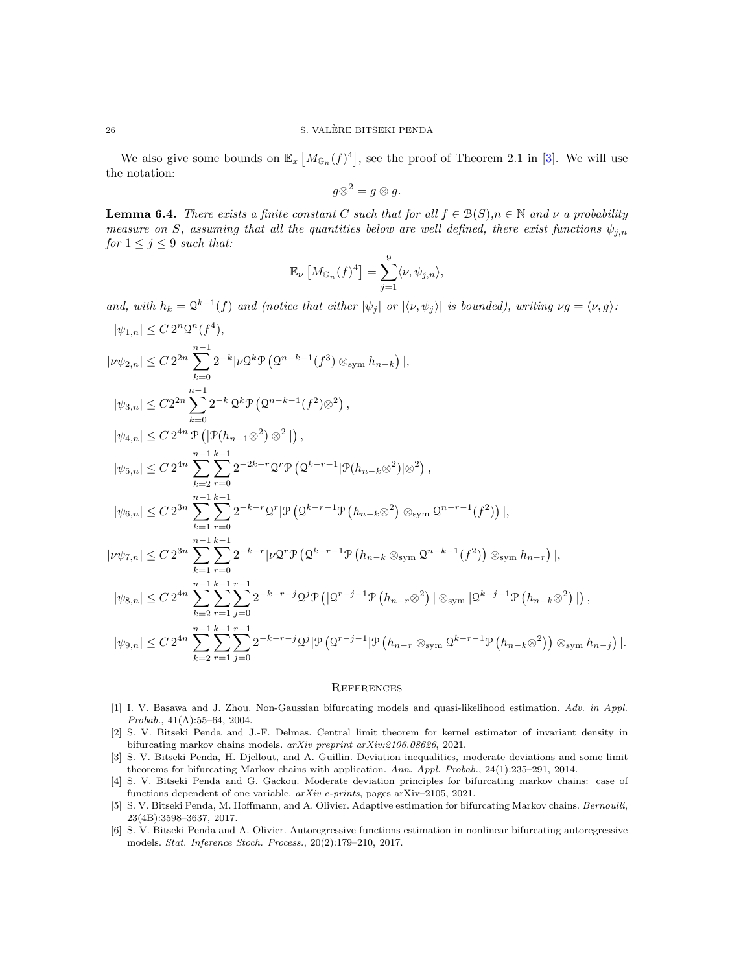We also give some bounds on  $\mathbb{E}_x \left[ M_{\mathbb{G}_n}(f)^4 \right]$ , see the proof of Theorem 2.1 in [\[3\]](#page-25-5). We will use the notation:

$$
g\otimes^2=g\otimes g.
$$

<span id="page-25-6"></span>**Lemma 6.4.** *There exists a finite constant* C *such that for all*  $f \in B(S), n \in \mathbb{N}$  *and*  $\nu$  *a probability measure on* S, assuming that all the quantities below are well defined, there exist functions  $\psi_{j,n}$ *for*  $1 \leq j \leq 9$  *such that:* 

$$
\mathbb{E}_{\nu}\left[M_{\mathbb{G}_n}(f)^4\right] = \sum_{j=1}^9 \langle \nu, \psi_{j,n} \rangle,
$$

*and, with*  $h_k = \mathbb{Q}^{k-1}(f)$  *and (notice that either*  $|\psi_j|$  *or*  $|\langle \nu, \psi_j \rangle|$  *is bounded), writing*  $\nu g = \langle \nu, g \rangle$ *:* 

$$
|\psi_{1,n}| \leq C 2^n \Omega^n(f^4),
$$
  
\n
$$
|\nu \psi_{2,n}| \leq C 2^{2n} \sum_{k=0}^{n-1} 2^{-k} |\nu \Omega^k \mathcal{P} \left( \Omega^{n-k-1}(f^3) \otimes_{\text{sym}} h_{n-k} \right) |,
$$
  
\n
$$
|\psi_{3,n}| \leq C 2^{2n} \sum_{k=0}^{n-1} 2^{-k} \Omega^k \mathcal{P} \left( \Omega^{n-k-1}(f^2) \otimes^2 \right),
$$
  
\n
$$
|\psi_{4,n}| \leq C 2^{4n} \mathcal{P} \left( |\mathcal{P}(h_{n-1} \otimes^2) \otimes^2| \right),
$$
  
\n
$$
|\psi_{5,n}| \leq C 2^{4n} \sum_{k=2}^{n-1} \sum_{r=0}^{k-1} 2^{-2k-r} \Omega^r \mathcal{P} \left( \Omega^{k-r-1} |\mathcal{P}(h_{n-k} \otimes^2)| \otimes^2 \right),
$$
  
\n
$$
|\psi_{6,n}| \leq C 2^{3n} \sum_{k=1}^{n-1} \sum_{r=0}^{k-1} 2^{-k-r} \Omega^r |\mathcal{P} \left( \Omega^{k-r-1} \mathcal{P} \left( h_{n-k} \otimes^2 \right) \otimes_{\text{sym}} \Omega^{n-r-1}(f^2) \right) |,
$$
  
\n
$$
|\nu \psi_{7,n}| \leq C 2^{3n} \sum_{k=1}^{n-1} \sum_{r=0}^{k-1} 2^{-k-r} |\nu \mathcal{Q}^r \mathcal{P} \left( \Omega^{k-r-1} \mathcal{P} \left( h_{n-k} \otimes_{\text{sym}} \Omega^{n-k-1}(f^2) \right) \otimes_{\text{sym}} h_{n-r} \right) |,
$$
  
\n
$$
|\psi_{8,n}| \leq C 2^{4n} \sum_{k=2}^{n-1} \sum_{r=1}^{k-1} \sum_{j=0}^{r-1} 2^{-k-r-j} \Omega^j \mathcal{P} \left( |\Omega^{r-j-1} \mathcal{P} \left( h_{n-r} \otimes^2 \right) | \otimes_{\text{sym}} |\Omega^{k-j-1
$$

#### **REFERENCES**

- <span id="page-25-1"></span>[1] I. V. Basawa and J. Zhou. Non-Gaussian bifurcating models and quasi-likelihood estimation. *Adv. in Appl. Probab.*, 41(A):55–64, 2004.
- <span id="page-25-3"></span>[2] S. V. Bitseki Penda and J.-F. Delmas. Central limit theorem for kernel estimator of invariant density in bifurcating markov chains models. *arXiv preprint arXiv:2106.08626*, 2021.
- <span id="page-25-5"></span>[3] S. V. Bitseki Penda, H. Djellout, and A. Guillin. Deviation inequalities, moderate deviations and some limit theorems for bifurcating Markov chains with application. *Ann. Appl. Probab.*, 24(1):235–291, 2014.
- <span id="page-25-4"></span>[4] S. V. Bitseki Penda and G. Gackou. Moderate deviation principles for bifurcating markov chains: case of functions dependent of one variable. *arXiv e-prints*, pages arXiv–2105, 2021.
- <span id="page-25-2"></span>[5] S. V. Bitseki Penda, M. Hoffmann, and A. Olivier. Adaptive estimation for bifurcating Markov chains. *Bernoulli*, 23(4B):3598–3637, 2017.
- <span id="page-25-0"></span>[6] S. V. Bitseki Penda and A. Olivier. Autoregressive functions estimation in nonlinear bifurcating autoregressive models. *Stat. Inference Stoch. Process.*, 20(2):179–210, 2017.